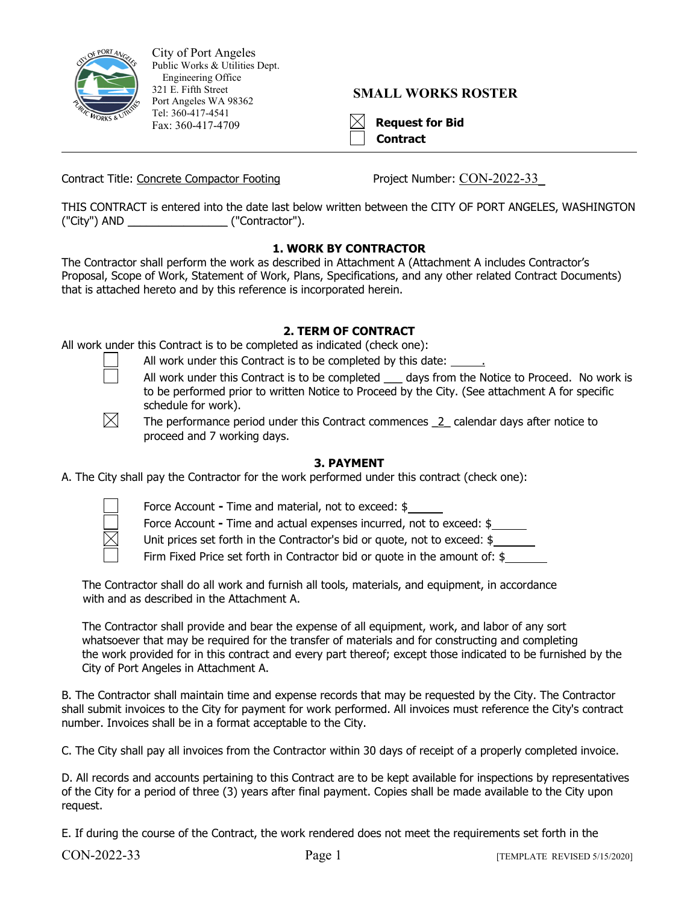

City of Port Angeles Public Works & Utilities Dept. Engineering Office 321 E. Fifth Street Port Angeles WA 98362 Tel: 360-417-4541 Fax: 360-417-4709

## **SMALL WORKS ROSTER**

| ۰ |
|---|
|   |

auest for Bid **Contract**

Contract Title: Concrete Compactor Footing Project Number: CON-2022-33

THIS CONTRACT is entered into the date last below written between the CITY OF PORT ANGELES, WASHINGTON ("City") AND \_\_\_\_\_\_\_\_\_\_\_\_\_\_\_\_ ("Contractor").

## **1. WORK BY CONTRACTOR**

The Contractor shall perform the work as described in Attachment A (Attachment A includes Contractor's Proposal, Scope of Work, Statement of Work, Plans, Specifications, and any other related Contract Documents) that is attached hereto and by this reference is incorporated herein.

## **2. TERM OF CONTRACT**

All work under this Contract is to be completed as indicated (check one):

- All work under this Contract is to be completed by this date:
- 
- All work under this Contract is to be completed days from the Notice to Proceed. No work is to be performed prior to written Notice to Proceed by the City. (See attachment A for specific schedule for work).

 $\bowtie$ 

The performance period under this Contract commences 2 calendar days after notice to proceed and 7 working days.

## **3. PAYMENT**

A. The City shall pay the Contractor for the work performed under this contract (check one):



Force Account **-** Time and material, not to exceed: \$

Force Account **-** Time and actual expenses incurred, not to exceed: \$

Unit prices set forth in the Contractor's bid or quote, not to exceed: \$

Firm Fixed Price set forth in Contractor bid or quote in the amount of: \$

The Contractor shall do all work and furnish all tools, materials, and equipment, in accordance with and as described in the Attachment A.

The Contractor shall provide and bear the expense of all equipment, work, and labor of any sort whatsoever that may be required for the transfer of materials and for constructing and completing the work provided for in this contract and every part thereof; except those indicated to be furnished by the City of Port Angeles in Attachment A.

B. The Contractor shall maintain time and expense records that may be requested by the City. The Contractor shall submit invoices to the City for payment for work performed. All invoices must reference the City's contract number. Invoices shall be in a format acceptable to the City.

C. The City shall pay all invoices from the Contractor within 30 days of receipt of a properly completed invoice.

D. All records and accounts pertaining to this Contract are to be kept available for inspections by representatives of the City for a period of three (3) years after final payment. Copies shall be made available to the City upon request.

E. If during the course of the Contract, the work rendered does not meet the requirements set forth in the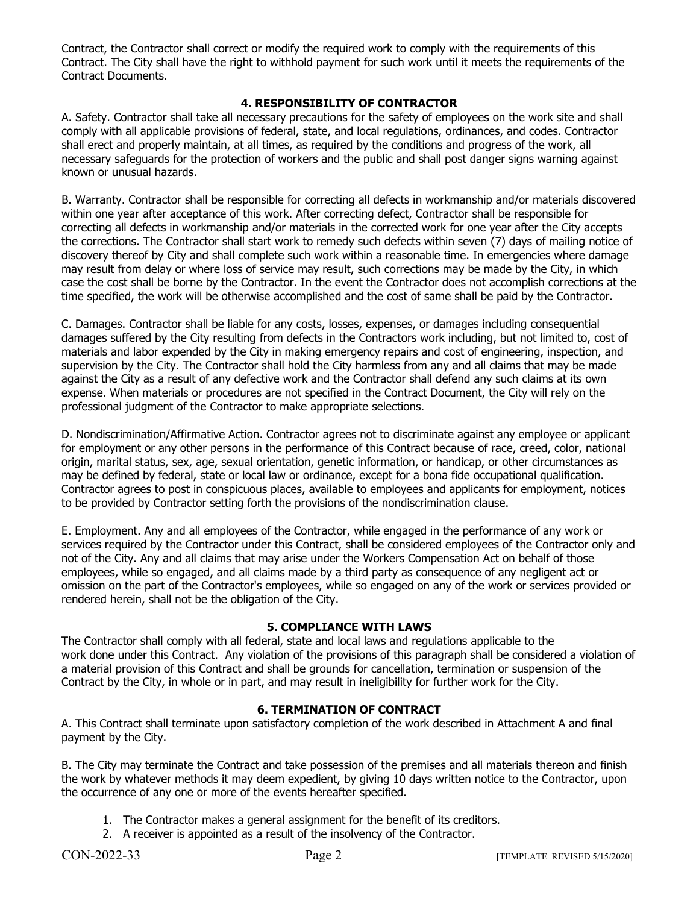Contract, the Contractor shall correct or modify the required work to comply with the requirements of this Contract. The City shall have the right to withhold payment for such work until it meets the requirements of the Contract Documents.

## **4. RESPONSIBILITY OF CONTRACTOR**

A. Safety. Contractor shall take all necessary precautions for the safety of employees on the work site and shall comply with all applicable provisions of federal, state, and local regulations, ordinances, and codes. Contractor shall erect and properly maintain, at all times, as required by the conditions and progress of the work, all necessary safeguards for the protection of workers and the public and shall post danger signs warning against known or unusual hazards.

B. Warranty. Contractor shall be responsible for correcting all defects in workmanship and/or materials discovered within one year after acceptance of this work. After correcting defect, Contractor shall be responsible for correcting all defects in workmanship and/or materials in the corrected work for one year after the City accepts the corrections. The Contractor shall start work to remedy such defects within seven (7) days of mailing notice of discovery thereof by City and shall complete such work within a reasonable time. In emergencies where damage may result from delay or where loss of service may result, such corrections may be made by the City, in which case the cost shall be borne by the Contractor. In the event the Contractor does not accomplish corrections at the time specified, the work will be otherwise accomplished and the cost of same shall be paid by the Contractor.

C. Damages. Contractor shall be liable for any costs, losses, expenses, or damages including consequential damages suffered by the City resulting from defects in the Contractors work including, but not limited to, cost of materials and labor expended by the City in making emergency repairs and cost of engineering, inspection, and supervision by the City. The Contractor shall hold the City harmless from any and all claims that may be made against the City as a result of any defective work and the Contractor shall defend any such claims at its own expense. When materials or procedures are not specified in the Contract Document, the City will rely on the professional judgment of the Contractor to make appropriate selections.

D. Nondiscrimination/Affirmative Action. Contractor agrees not to discriminate against any employee or applicant for employment or any other persons in the performance of this Contract because of race, creed, color, national origin, marital status, sex, age, sexual orientation, genetic information, or handicap, or other circumstances as may be defined by federal, state or local law or ordinance, except for a bona fide occupational qualification. Contractor agrees to post in conspicuous places, available to employees and applicants for employment, notices to be provided by Contractor setting forth the provisions of the nondiscrimination clause.

E. Employment. Any and all employees of the Contractor, while engaged in the performance of any work or services required by the Contractor under this Contract, shall be considered employees of the Contractor only and not of the City. Any and all claims that may arise under the Workers Compensation Act on behalf of those employees, while so engaged, and all claims made by a third party as consequence of any negligent act or omission on the part of the Contractor's employees, while so engaged on any of the work or services provided or rendered herein, shall not be the obligation of the City.

## **5. COMPLIANCE WITH LAWS**

The Contractor shall comply with all federal, state and local laws and regulations applicable to the work done under this Contract. Any violation of the provisions of this paragraph shall be considered a violation of a material provision of this Contract and shall be grounds for cancellation, termination or suspension of the Contract by the City, in whole or in part, and may result in ineligibility for further work for the City.

## **6. TERMINATION OF CONTRACT**

A. This Contract shall terminate upon satisfactory completion of the work described in Attachment A and final payment by the City.

B. The City may terminate the Contract and take possession of the premises and all materials thereon and finish the work by whatever methods it may deem expedient, by giving 10 days written notice to the Contractor, upon the occurrence of any one or more of the events hereafter specified.

- 1. The Contractor makes a general assignment for the benefit of its creditors.
- 2. A receiver is appointed as a result of the insolvency of the Contractor.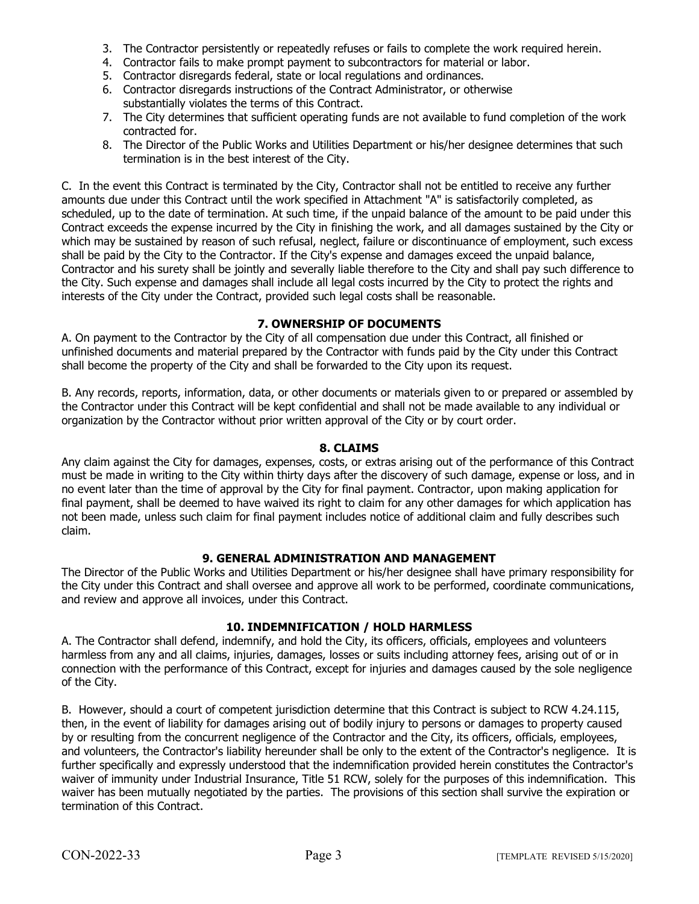- 3. The Contractor persistently or repeatedly refuses or fails to complete the work required herein.
- 4. Contractor fails to make prompt payment to subcontractors for material or labor.
- 5. Contractor disregards federal, state or local regulations and ordinances.
- 6. Contractor disregards instructions of the Contract Administrator, or otherwise substantially violates the terms of this Contract.
- 7. The City determines that sufficient operating funds are not available to fund completion of the work contracted for.
- 8. The Director of the Public Works and Utilities Department or his/her designee determines that such termination is in the best interest of the City.

C. In the event this Contract is terminated by the City, Contractor shall not be entitled to receive any further amounts due under this Contract until the work specified in Attachment "A" is satisfactorily completed, as scheduled, up to the date of termination. At such time, if the unpaid balance of the amount to be paid under this Contract exceeds the expense incurred by the City in finishing the work, and all damages sustained by the City or which may be sustained by reason of such refusal, neglect, failure or discontinuance of employment, such excess shall be paid by the City to the Contractor. If the City's expense and damages exceed the unpaid balance, Contractor and his surety shall be jointly and severally liable therefore to the City and shall pay such difference to the City. Such expense and damages shall include all legal costs incurred by the City to protect the rights and interests of the City under the Contract, provided such legal costs shall be reasonable.

## **7. OWNERSHIP OF DOCUMENTS**

A. On payment to the Contractor by the City of all compensation due under this Contract, all finished or unfinished documents and material prepared by the Contractor with funds paid by the City under this Contract shall become the property of the City and shall be forwarded to the City upon its request.

B. Any records, reports, information, data, or other documents or materials given to or prepared or assembled by the Contractor under this Contract will be kept confidential and shall not be made available to any individual or organization by the Contractor without prior written approval of the City or by court order.

## **8. CLAIMS**

Any claim against the City for damages, expenses, costs, or extras arising out of the performance of this Contract must be made in writing to the City within thirty days after the discovery of such damage, expense or loss, and in no event later than the time of approval by the City for final payment. Contractor, upon making application for final payment, shall be deemed to have waived its right to claim for any other damages for which application has not been made, unless such claim for final payment includes notice of additional claim and fully describes such claim.

## **9. GENERAL ADMINISTRATION AND MANAGEMENT**

The Director of the Public Works and Utilities Department or his/her designee shall have primary responsibility for the City under this Contract and shall oversee and approve all work to be performed, coordinate communications, and review and approve all invoices, under this Contract.

## **10. INDEMNIFICATION / HOLD HARMLESS**

A. The Contractor shall defend, indemnify, and hold the City, its officers, officials, employees and volunteers harmless from any and all claims, injuries, damages, losses or suits including attorney fees, arising out of or in connection with the performance of this Contract, except for injuries and damages caused by the sole negligence of the City.

B. However, should a court of competent jurisdiction determine that this Contract is subject to RCW 4.24.115, then, in the event of liability for damages arising out of bodily injury to persons or damages to property caused by or resulting from the concurrent negligence of the Contractor and the City, its officers, officials, employees, and volunteers, the Contractor's liability hereunder shall be only to the extent of the Contractor's negligence. It is further specifically and expressly understood that the indemnification provided herein constitutes the Contractor's waiver of immunity under Industrial Insurance, Title 51 RCW, solely for the purposes of this indemnification. This waiver has been mutually negotiated by the parties. The provisions of this section shall survive the expiration or termination of this Contract.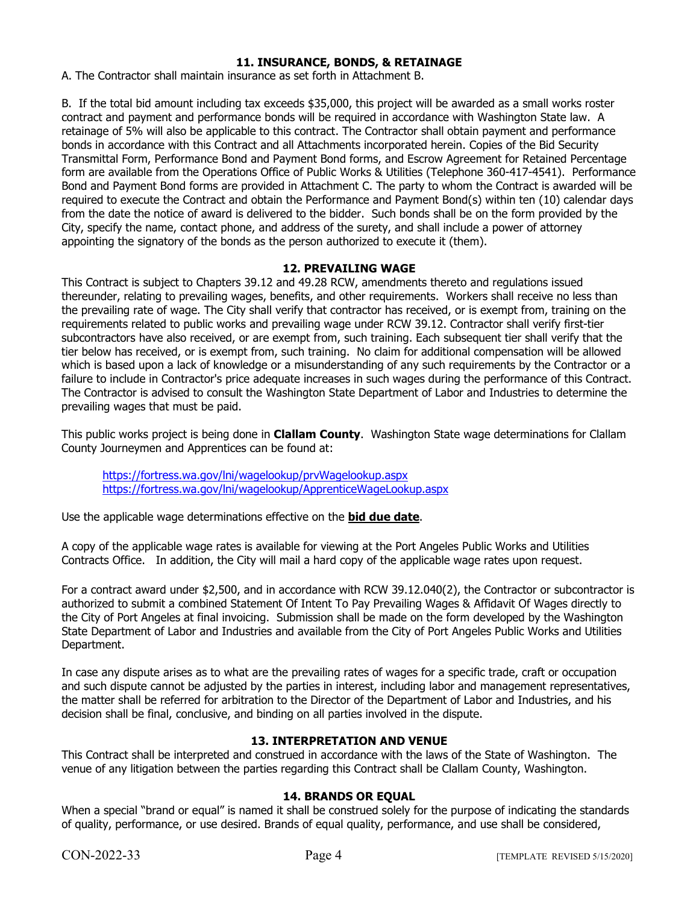## **11. INSURANCE, BONDS, & RETAINAGE**

A. The Contractor shall maintain insurance as set forth in Attachment B.

B. If the total bid amount including tax exceeds \$35,000, this project will be awarded as a small works roster contract and payment and performance bonds will be required in accordance with Washington State law. A retainage of 5% will also be applicable to this contract. The Contractor shall obtain payment and performance bonds in accordance with this Contract and all Attachments incorporated herein. Copies of the Bid Security Transmittal Form, Performance Bond and Payment Bond forms, and Escrow Agreement for Retained Percentage form are available from the Operations Office of Public Works & Utilities (Telephone 360-417-4541). Performance Bond and Payment Bond forms are provided in Attachment C. The party to whom the Contract is awarded will be required to execute the Contract and obtain the Performance and Payment Bond(s) within ten (10) calendar days from the date the notice of award is delivered to the bidder. Such bonds shall be on the form provided by the City, specify the name, contact phone, and address of the surety, and shall include a power of attorney appointing the signatory of the bonds as the person authorized to execute it (them).

## **12. PREVAILING WAGE**

This Contract is subject to Chapters 39.12 and 49.28 RCW, amendments thereto and regulations issued thereunder, relating to prevailing wages, benefits, and other requirements. Workers shall receive no less than the prevailing rate of wage. The City shall verify that contractor has received, or is exempt from, training on the requirements related to public works and prevailing wage under RCW 39.12. Contractor shall verify first-tier subcontractors have also received, or are exempt from, such training. Each subsequent tier shall verify that the tier below has received, or is exempt from, such training. No claim for additional compensation will be allowed which is based upon a lack of knowledge or a misunderstanding of any such requirements by the Contractor or a failure to include in Contractor's price adequate increases in such wages during the performance of this Contract. The Contractor is advised to consult the Washington State Department of Labor and Industries to determine the prevailing wages that must be paid.

This public works project is being done in **Clallam County**. Washington State wage determinations for Clallam County Journeymen and Apprentices can be found at:

<https://fortress.wa.gov/lni/wagelookup/prvWagelookup.aspx> <https://fortress.wa.gov/lni/wagelookup/ApprenticeWageLookup.aspx>

Use the applicable wage determinations effective on the **bid due date**.

A copy of the applicable wage rates is available for viewing at the Port Angeles Public Works and Utilities Contracts Office. In addition, the City will mail a hard copy of the applicable wage rates upon request.

For a contract award under \$2,500, and in accordance with RCW 39.12.040(2), the Contractor or subcontractor is authorized to submit a combined Statement Of Intent To Pay Prevailing Wages & Affidavit Of Wages directly to the City of Port Angeles at final invoicing. Submission shall be made on the form developed by the Washington State Department of Labor and Industries and available from the City of Port Angeles Public Works and Utilities Department.

In case any dispute arises as to what are the prevailing rates of wages for a specific trade, craft or occupation and such dispute cannot be adjusted by the parties in interest, including labor and management representatives, the matter shall be referred for arbitration to the Director of the Department of Labor and Industries, and his decision shall be final, conclusive, and binding on all parties involved in the dispute.

## **13. INTERPRETATION AND VENUE**

This Contract shall be interpreted and construed in accordance with the laws of the State of Washington. The venue of any litigation between the parties regarding this Contract shall be Clallam County, Washington.

## **14. BRANDS OR EQUAL**

When a special "brand or equal" is named it shall be construed solely for the purpose of indicating the standards of quality, performance, or use desired. Brands of equal quality, performance, and use shall be considered,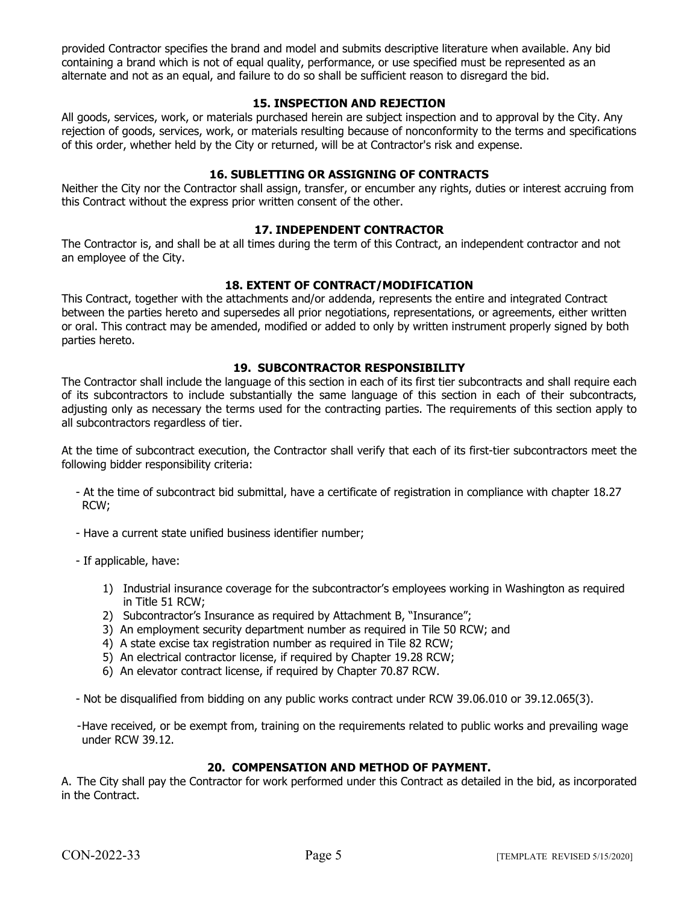provided Contractor specifies the brand and model and submits descriptive literature when available. Any bid containing a brand which is not of equal quality, performance, or use specified must be represented as an alternate and not as an equal, and failure to do so shall be sufficient reason to disregard the bid.

## **15. INSPECTION AND REJECTION**

All goods, services, work, or materials purchased herein are subject inspection and to approval by the City. Any rejection of goods, services, work, or materials resulting because of nonconformity to the terms and specifications of this order, whether held by the City or returned, will be at Contractor's risk and expense.

## **16. SUBLETTING OR ASSIGNING OF CONTRACTS**

Neither the City nor the Contractor shall assign, transfer, or encumber any rights, duties or interest accruing from this Contract without the express prior written consent of the other.

## **17. INDEPENDENT CONTRACTOR**

The Contractor is, and shall be at all times during the term of this Contract, an independent contractor and not an employee of the City.

## **18. EXTENT OF CONTRACT/MODIFICATION**

This Contract, together with the attachments and/or addenda, represents the entire and integrated Contract between the parties hereto and supersedes all prior negotiations, representations, or agreements, either written or oral. This contract may be amended, modified or added to only by written instrument properly signed by both parties hereto.

#### **19. SUBCONTRACTOR RESPONSIBILITY**

The Contractor shall include the language of this section in each of its first tier subcontracts and shall require each of its subcontractors to include substantially the same language of this section in each of their subcontracts, adjusting only as necessary the terms used for the contracting parties. The requirements of this section apply to all subcontractors regardless of tier.

At the time of subcontract execution, the Contractor shall verify that each of its first-tier subcontractors meet the following bidder responsibility criteria:

- At the time of subcontract bid submittal, have a certificate of registration in compliance with chapter 18.27 RCW;
- Have a current state unified business identifier number;
- If applicable, have:
	- 1) Industrial insurance coverage for the subcontractor's employees working in Washington as required in Title 51 RCW;
	- 2) Subcontractor's Insurance as required by Attachment B, "Insurance";
	- 3) An employment security department number as required in Tile 50 RCW; and
	- 4) A state excise tax registration number as required in Tile 82 RCW;
	- 5) An electrical contractor license, if required by Chapter 19.28 RCW;
	- 6) An elevator contract license, if required by Chapter 70.87 RCW.

- Not be disqualified from bidding on any public works contract under RCW 39.06.010 or 39.12.065(3).

-Have received, or be exempt from, training on the requirements related to public works and prevailing wage under RCW 39.12.

#### **20. COMPENSATION AND METHOD OF PAYMENT.**

A. The City shall pay the Contractor for work performed under this Contract as detailed in the bid, as incorporated in the Contract.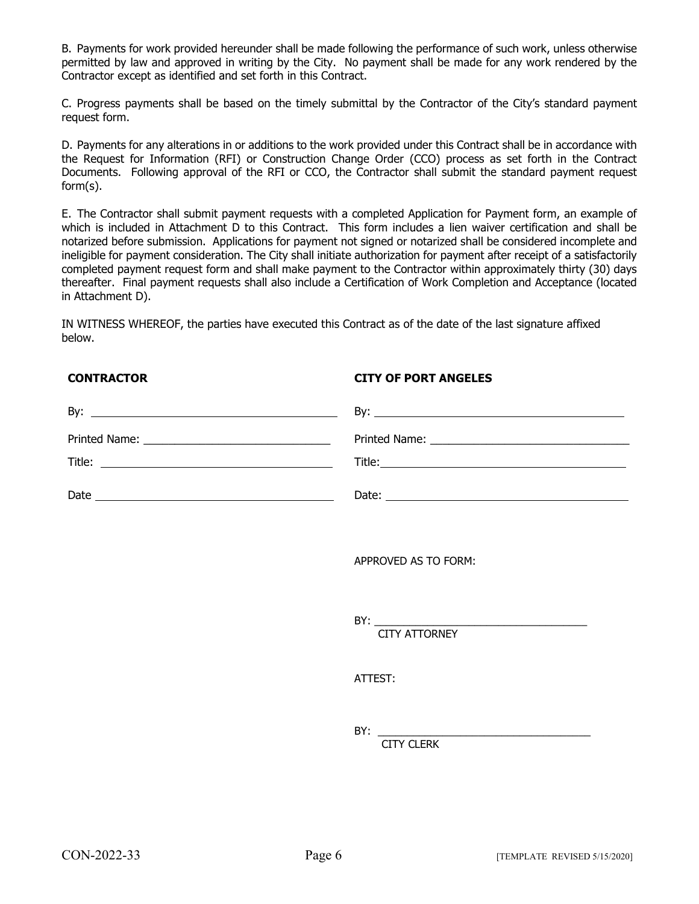B. Payments for work provided hereunder shall be made following the performance of such work, unless otherwise permitted by law and approved in writing by the City. No payment shall be made for any work rendered by the Contractor except as identified and set forth in this Contract.

C. Progress payments shall be based on the timely submittal by the Contractor of the City's standard payment request form.

D. Payments for any alterations in or additions to the work provided under this Contract shall be in accordance with the Request for Information (RFI) or Construction Change Order (CCO) process as set forth in the Contract Documents. Following approval of the RFI or CCO, the Contractor shall submit the standard payment request form(s).

E. The Contractor shall submit payment requests with a completed Application for Payment form, an example of which is included in Attachment D to this Contract. This form includes a lien waiver certification and shall be notarized before submission. Applications for payment not signed or notarized shall be considered incomplete and ineligible for payment consideration. The City shall initiate authorization for payment after receipt of a satisfactorily completed payment request form and shall make payment to the Contractor within approximately thirty (30) days thereafter. Final payment requests shall also include a Certification of Work Completion and Acceptance (located in Attachment D).

IN WITNESS WHEREOF, the parties have executed this Contract as of the date of the last signature affixed below.

## **CONTRACTOR CITY OF PORT ANGELES**

| APPROVED AS TO FORM: |
|----------------------|
| <b>CITY ATTORNEY</b> |
| ATTEST:              |
| <b>CITY CLERK</b>    |
|                      |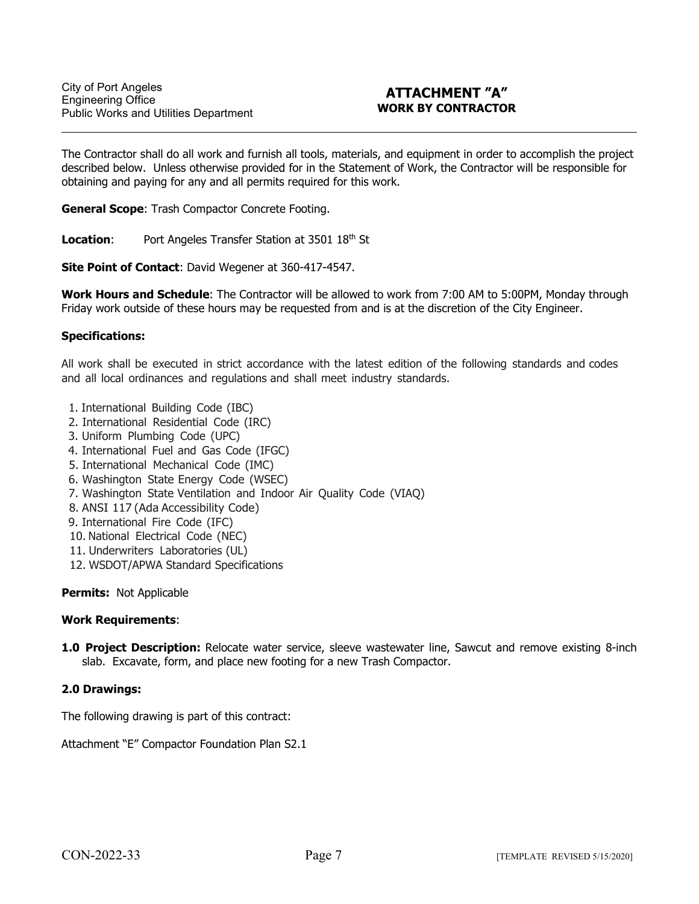## **ATTACHMENT "A" WORK BY CONTRACTOR**

The Contractor shall do all work and furnish all tools, materials, and equipment in order to accomplish the project described below. Unless otherwise provided for in the Statement of Work, the Contractor will be responsible for obtaining and paying for any and all permits required for this work.

**General Scope**: Trash Compactor Concrete Footing.

**Location:** Port Angeles Transfer Station at 3501 18<sup>th</sup> St

**Site Point of Contact**: David Wegener at 360-417-4547.

**Work Hours and Schedule**: The Contractor will be allowed to work from 7:00 AM to 5:00PM, Monday through Friday work outside of these hours may be requested from and is at the discretion of the City Engineer.

#### **Specifications:**

 $\ddot{\phantom{a}}$ 

All work shall be executed in strict accordance with the latest edition of the following standards and codes and all local ordinances and regulations and shall meet industry standards.

- 1. International Building Code (IBC)
- 2. International Residential Code (IRC)
- 3. Uniform Plumbing Code (UPC)
- 4. International Fuel and Gas Code (IFGC)
- 5. International Mechanical Code (IMC)
- 6. Washington State Energy Code (WSEC)
- 7. Washington State Ventilation and Indoor Air Quality Code (VIAQ)
- 8. ANSI 117 (Ada Accessibility Code)
- 9. International Fire Code (IFC)
- 10. National Electrical Code (NEC)
- 11. Underwriters Laboratories (UL)
- 12. WSDOT/APWA Standard Specifications

#### **Permits:** Not Applicable

#### **Work Requirements**:

**1.0 Project Description:** Relocate water service, sleeve wastewater line, Sawcut and remove existing 8-inch slab. Excavate, form, and place new footing for a new Trash Compactor.

#### **2.0 Drawings:**

The following drawing is part of this contract:

Attachment "E" Compactor Foundation Plan S2.1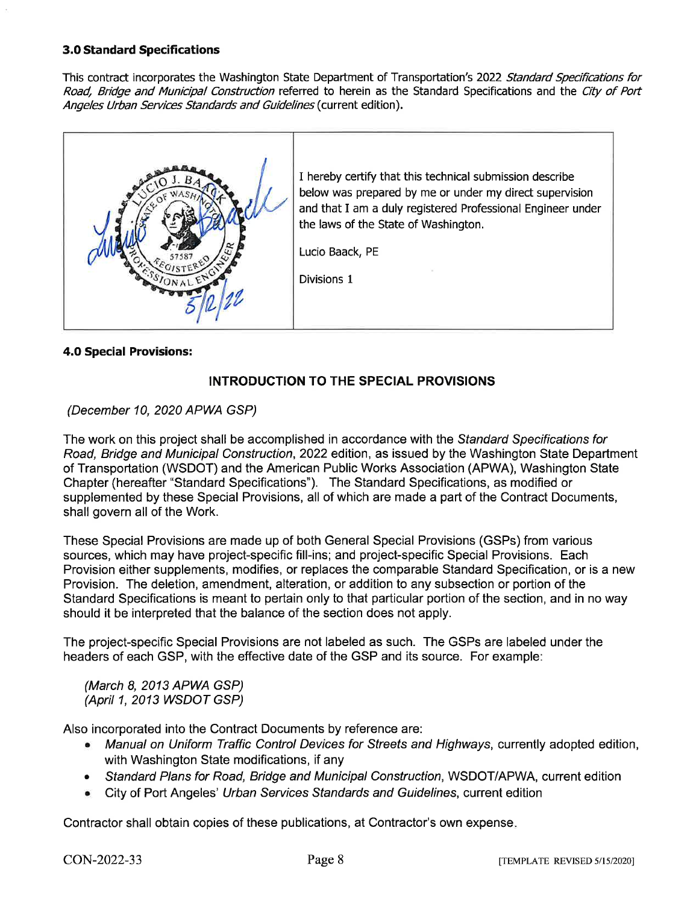## **3.0 Standard Specifications**

This contract incorporates the Washington State Department of Transportation's 2022 Standard Specifications for Road, Bridge and Municipal Construction referred to herein as the Standard Specifications and the City of Port Angeles Urban Services Standards and Guidelines (current edition).



## **4.0 Special Provisions:**

## **INTRODUCTION TO THE SPECIAL PROVISIONS**

## (December 10, 2020 APWA GSP)

The work on this project shall be accomplished in accordance with the Standard Specifications for Road, Bridge and Municipal Construction, 2022 edition, as issued by the Washington State Department of Transportation (WSDOT) and the American Public Works Association (APWA), Washington State Chapter (hereafter "Standard Specifications"). The Standard Specifications, as modified or supplemented by these Special Provisions, all of which are made a part of the Contract Documents, shall govern all of the Work.

These Special Provisions are made up of both General Special Provisions (GSPs) from various sources, which may have project-specific fill-ins; and project-specific Special Provisions. Each Provision either supplements, modifies, or replaces the comparable Standard Specification, or is a new Provision. The deletion, amendment, alteration, or addition to any subsection or portion of the Standard Specifications is meant to pertain only to that particular portion of the section, and in no way should it be interpreted that the balance of the section does not apply.

The project-specific Special Provisions are not labeled as such. The GSPs are labeled under the headers of each GSP, with the effective date of the GSP and its source. For example:

(March 8, 2013 APWA GSP) (April 1, 2013 WSDOT GSP)

Also incorporated into the Contract Documents by reference are:

- Manual on Uniform Traffic Control Devices for Streets and Highways, currently adopted edition, with Washington State modifications, if any
- Standard Plans for Road, Bridge and Municipal Construction, WSDOT/APWA, current edition
- City of Port Angeles' Urban Services Standards and Guidelines, current edition

Contractor shall obtain copies of these publications, at Contractor's own expense.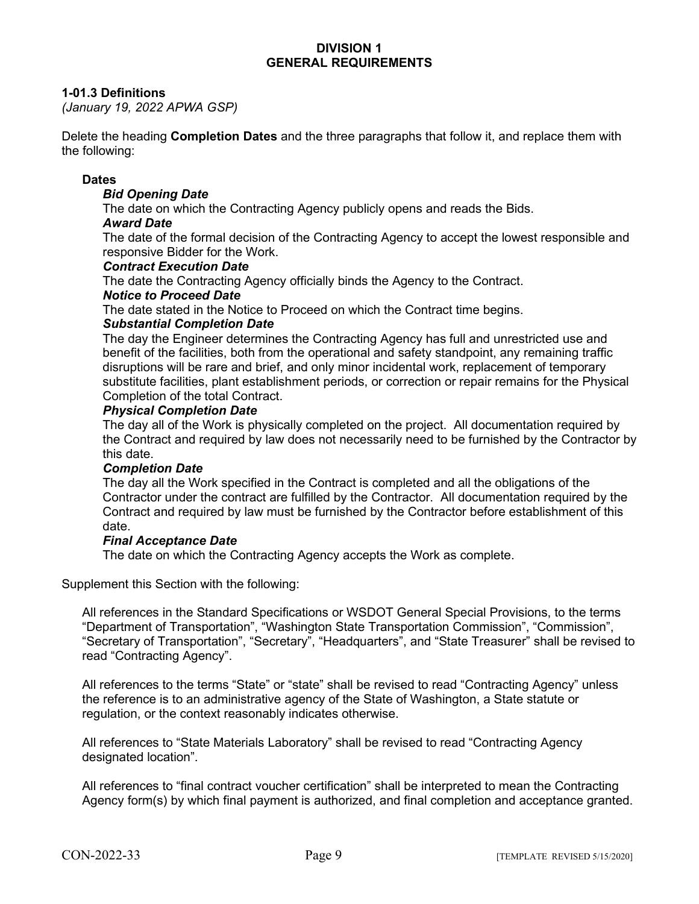## **DIVISION 1 GENERAL REQUIREMENTS**

## **1-01.3 Definitions**

*(January 19, 2022 APWA GSP)*

Delete the heading **Completion Dates** and the three paragraphs that follow it, and replace them with the following:

#### **Dates**

#### *Bid Opening Date*

The date on which the Contracting Agency publicly opens and reads the Bids.

#### *Award Date*

The date of the formal decision of the Contracting Agency to accept the lowest responsible and responsive Bidder for the Work.

#### *Contract Execution Date*

The date the Contracting Agency officially binds the Agency to the Contract.

#### *Notice to Proceed Date*

The date stated in the Notice to Proceed on which the Contract time begins.

## *Substantial Completion Date*

The day the Engineer determines the Contracting Agency has full and unrestricted use and benefit of the facilities, both from the operational and safety standpoint, any remaining traffic disruptions will be rare and brief, and only minor incidental work, replacement of temporary substitute facilities, plant establishment periods, or correction or repair remains for the Physical Completion of the total Contract.

#### *Physical Completion Date*

The day all of the Work is physically completed on the project. All documentation required by the Contract and required by law does not necessarily need to be furnished by the Contractor by this date.

#### *Completion Date*

The day all the Work specified in the Contract is completed and all the obligations of the Contractor under the contract are fulfilled by the Contractor. All documentation required by the Contract and required by law must be furnished by the Contractor before establishment of this date.

#### *Final Acceptance Date*

The date on which the Contracting Agency accepts the Work as complete.

Supplement this Section with the following:

All references in the Standard Specifications or WSDOT General Special Provisions, to the terms "Department of Transportation", "Washington State Transportation Commission", "Commission", "Secretary of Transportation", "Secretary", "Headquarters", and "State Treasurer" shall be revised to read "Contracting Agency".

All references to the terms "State" or "state" shall be revised to read "Contracting Agency" unless the reference is to an administrative agency of the State of Washington, a State statute or regulation, or the context reasonably indicates otherwise.

All references to "State Materials Laboratory" shall be revised to read "Contracting Agency designated location".

All references to "final contract voucher certification" shall be interpreted to mean the Contracting Agency form(s) by which final payment is authorized, and final completion and acceptance granted.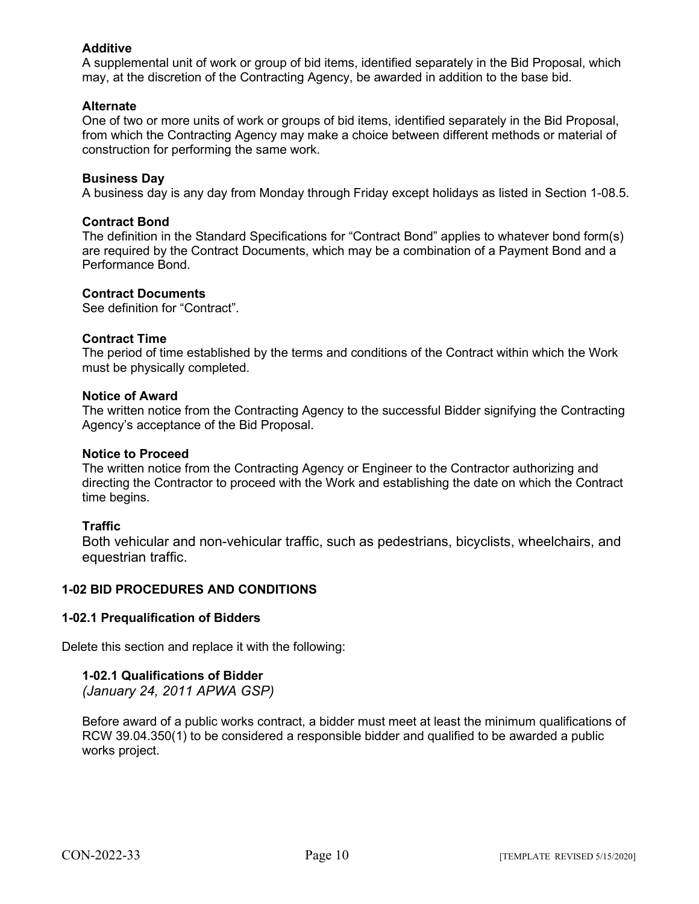## **Additive**

A supplemental unit of work or group of bid items, identified separately in the Bid Proposal, which may, at the discretion of the Contracting Agency, be awarded in addition to the base bid.

## **Alternate**

One of two or more units of work or groups of bid items, identified separately in the Bid Proposal, from which the Contracting Agency may make a choice between different methods or material of construction for performing the same work.

## **Business Day**

A business day is any day from Monday through Friday except holidays as listed in Section 1-08.5.

## **Contract Bond**

The definition in the Standard Specifications for "Contract Bond" applies to whatever bond form(s) are required by the Contract Documents, which may be a combination of a Payment Bond and a Performance Bond.

## **Contract Documents**

See definition for "Contract".

## **Contract Time**

The period of time established by the terms and conditions of the Contract within which the Work must be physically completed.

## **Notice of Award**

The written notice from the Contracting Agency to the successful Bidder signifying the Contracting Agency's acceptance of the Bid Proposal.

## **Notice to Proceed**

The written notice from the Contracting Agency or Engineer to the Contractor authorizing and directing the Contractor to proceed with the Work and establishing the date on which the Contract time begins.

## **Traffic**

Both vehicular and non-vehicular traffic, such as pedestrians, bicyclists, wheelchairs, and equestrian traffic.

## **1-02 BID PROCEDURES AND CONDITIONS**

## **1-02.1 Prequalification of Bidders**

Delete this section and replace it with the following:

## **1-02.1 Qualifications of Bidder**

*(January 24, 2011 APWA GSP)*

Before award of a public works contract, a bidder must meet at least the minimum qualifications of RCW 39.04.350(1) to be considered a responsible bidder and qualified to be awarded a public works project.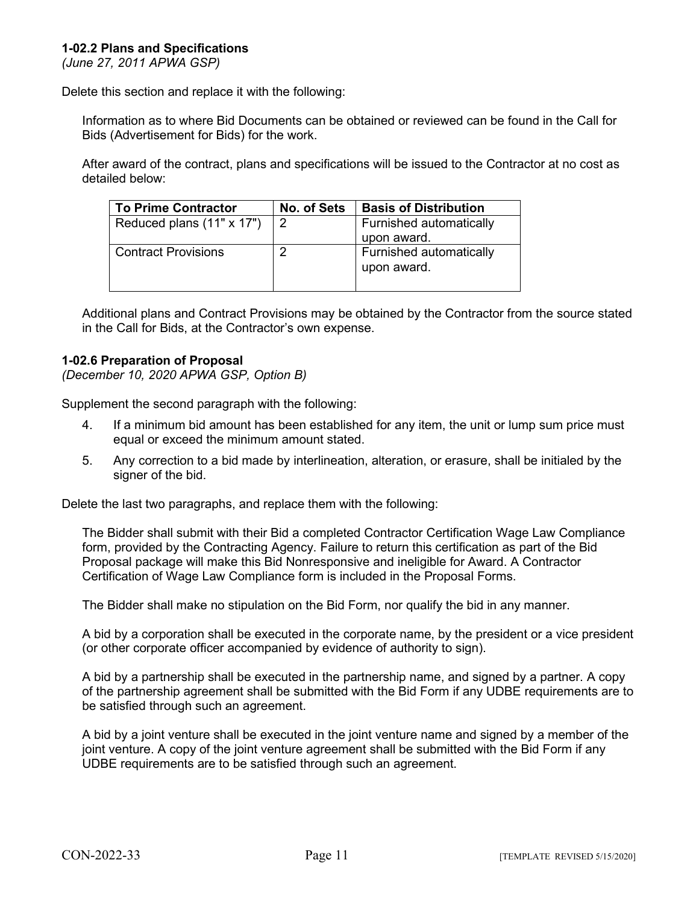## **1-02.2 Plans and Specifications**

*(June 27, 2011 APWA GSP)*

Delete this section and replace it with the following:

Information as to where Bid Documents can be obtained or reviewed can be found in the Call for Bids (Advertisement for Bids) for the work.

After award of the contract, plans and specifications will be issued to the Contractor at no cost as detailed below:

| <b>To Prime Contractor</b> | <b>No. of Sets</b> | <b>Basis of Distribution</b>           |
|----------------------------|--------------------|----------------------------------------|
| Reduced plans (11" x 17")  | $\vert 2 \vert$    | Furnished automatically                |
|                            |                    | upon award.                            |
| <b>Contract Provisions</b> |                    | Furnished automatically<br>upon award. |
|                            |                    |                                        |

Additional plans and Contract Provisions may be obtained by the Contractor from the source stated in the Call for Bids, at the Contractor's own expense.

## **1-02.6 Preparation of Proposal**

*(December 10, 2020 APWA GSP, Option B)*

Supplement the second paragraph with the following:

- 4. If a minimum bid amount has been established for any item, the unit or lump sum price must equal or exceed the minimum amount stated.
- 5. Any correction to a bid made by interlineation, alteration, or erasure, shall be initialed by the signer of the bid.

Delete the last two paragraphs, and replace them with the following:

The Bidder shall submit with their Bid a completed Contractor Certification Wage Law Compliance form, provided by the Contracting Agency. Failure to return this certification as part of the Bid Proposal package will make this Bid Nonresponsive and ineligible for Award. A Contractor Certification of Wage Law Compliance form is included in the Proposal Forms.

The Bidder shall make no stipulation on the Bid Form, nor qualify the bid in any manner.

A bid by a corporation shall be executed in the corporate name, by the president or a vice president (or other corporate officer accompanied by evidence of authority to sign).

A bid by a partnership shall be executed in the partnership name, and signed by a partner. A copy of the partnership agreement shall be submitted with the Bid Form if any UDBE requirements are to be satisfied through such an agreement.

A bid by a joint venture shall be executed in the joint venture name and signed by a member of the joint venture. A copy of the joint venture agreement shall be submitted with the Bid Form if any UDBE requirements are to be satisfied through such an agreement.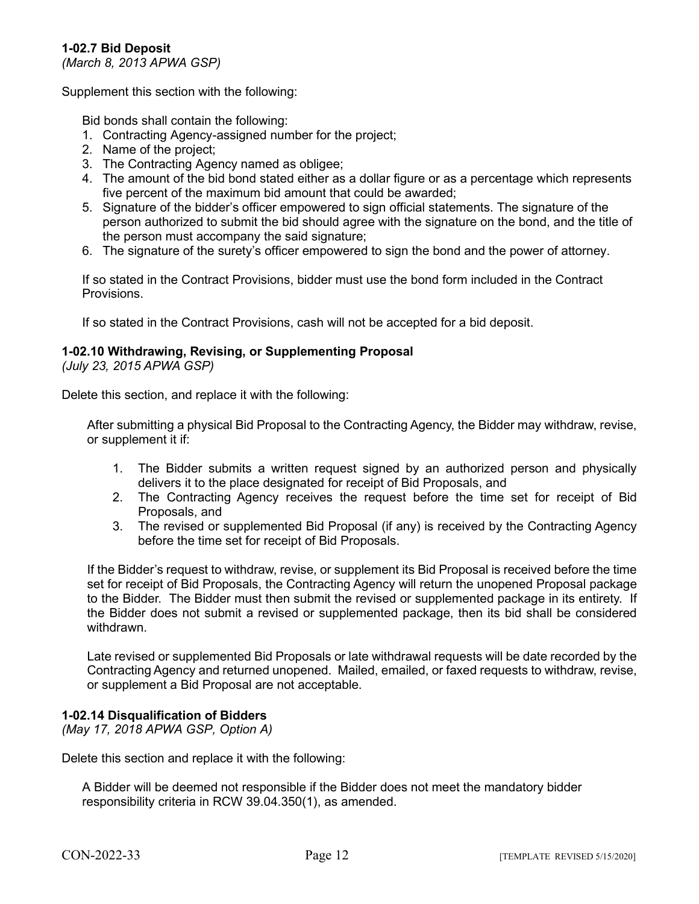## **1-02.7 Bid Deposit**

*(March 8, 2013 APWA GSP)*

Supplement this section with the following:

Bid bonds shall contain the following:

- 1. Contracting Agency-assigned number for the project;
- 2. Name of the project;
- 3. The Contracting Agency named as obligee;
- 4. The amount of the bid bond stated either as a dollar figure or as a percentage which represents five percent of the maximum bid amount that could be awarded;
- 5. Signature of the bidder's officer empowered to sign official statements. The signature of the person authorized to submit the bid should agree with the signature on the bond, and the title of the person must accompany the said signature;
- 6. The signature of the surety's officer empowered to sign the bond and the power of attorney.

If so stated in the Contract Provisions, bidder must use the bond form included in the Contract **Provisions** 

If so stated in the Contract Provisions, cash will not be accepted for a bid deposit.

## **1-02.10 Withdrawing, Revising, or Supplementing Proposal**

*(July 23, 2015 APWA GSP)*

Delete this section, and replace it with the following:

After submitting a physical Bid Proposal to the Contracting Agency, the Bidder may withdraw, revise, or supplement it if:

- 1. The Bidder submits a written request signed by an authorized person and physically delivers it to the place designated for receipt of Bid Proposals, and
- 2. The Contracting Agency receives the request before the time set for receipt of Bid Proposals, and
- 3. The revised or supplemented Bid Proposal (if any) is received by the Contracting Agency before the time set for receipt of Bid Proposals.

If the Bidder's request to withdraw, revise, or supplement its Bid Proposal is received before the time set for receipt of Bid Proposals, the Contracting Agency will return the unopened Proposal package to the Bidder. The Bidder must then submit the revised or supplemented package in its entirety. If the Bidder does not submit a revised or supplemented package, then its bid shall be considered withdrawn.

Late revised or supplemented Bid Proposals or late withdrawal requests will be date recorded by the Contracting Agency and returned unopened. Mailed, emailed, or faxed requests to withdraw, revise, or supplement a Bid Proposal are not acceptable.

## **1-02.14 Disqualification of Bidders**

*(May 17, 2018 APWA GSP, Option A)*

Delete this section and replace it with the following:

A Bidder will be deemed not responsible if the Bidder does not meet the mandatory bidder responsibility criteria in RCW 39.04.350(1), as amended.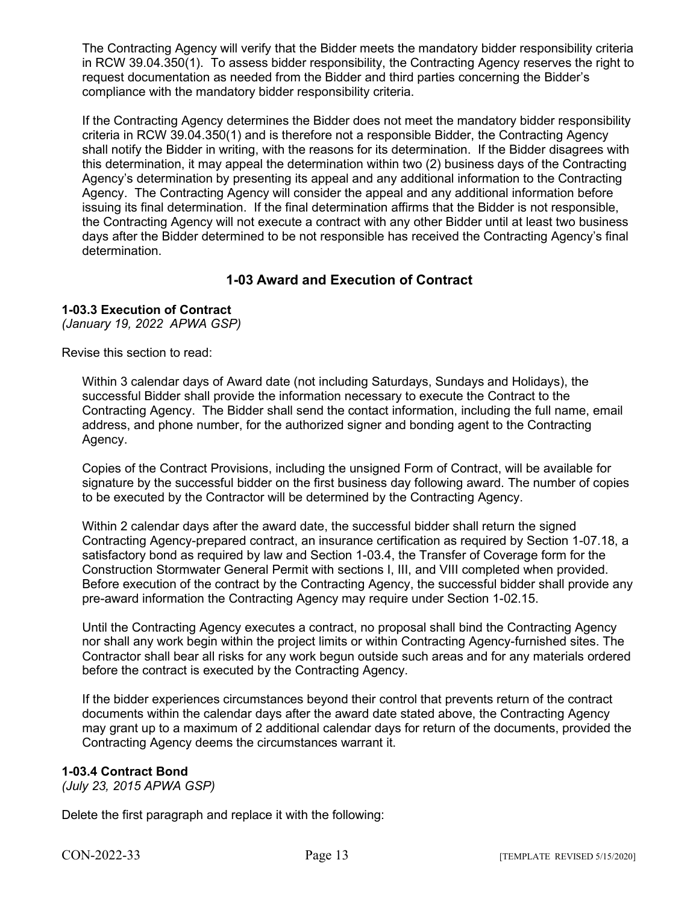The Contracting Agency will verify that the Bidder meets the mandatory bidder responsibility criteria in RCW 39.04.350(1). To assess bidder responsibility, the Contracting Agency reserves the right to request documentation as needed from the Bidder and third parties concerning the Bidder's compliance with the mandatory bidder responsibility criteria.

If the Contracting Agency determines the Bidder does not meet the mandatory bidder responsibility criteria in RCW 39.04.350(1) and is therefore not a responsible Bidder, the Contracting Agency shall notify the Bidder in writing, with the reasons for its determination. If the Bidder disagrees with this determination, it may appeal the determination within two (2) business days of the Contracting Agency's determination by presenting its appeal and any additional information to the Contracting Agency. The Contracting Agency will consider the appeal and any additional information before issuing its final determination. If the final determination affirms that the Bidder is not responsible, the Contracting Agency will not execute a contract with any other Bidder until at least two business days after the Bidder determined to be not responsible has received the Contracting Agency's final determination.

## **1-03 Award and Execution of Contract**

## **1-03.3 Execution of Contract**

*(January 19, 2022 APWA GSP)*

Revise this section to read:

Within 3 calendar days of Award date (not including Saturdays, Sundays and Holidays), the successful Bidder shall provide the information necessary to execute the Contract to the Contracting Agency. The Bidder shall send the contact information, including the full name, email address, and phone number, for the authorized signer and bonding agent to the Contracting Agency.

Copies of the Contract Provisions, including the unsigned Form of Contract, will be available for signature by the successful bidder on the first business day following award. The number of copies to be executed by the Contractor will be determined by the Contracting Agency.

Within 2 calendar days after the award date, the successful bidder shall return the signed Contracting Agency-prepared contract, an insurance certification as required by Section 1-07.18, a satisfactory bond as required by law and Section 1-03.4, the Transfer of Coverage form for the Construction Stormwater General Permit with sections I, III, and VIII completed when provided. Before execution of the contract by the Contracting Agency, the successful bidder shall provide any pre-award information the Contracting Agency may require under Section 1-02.15.

Until the Contracting Agency executes a contract, no proposal shall bind the Contracting Agency nor shall any work begin within the project limits or within Contracting Agency-furnished sites. The Contractor shall bear all risks for any work begun outside such areas and for any materials ordered before the contract is executed by the Contracting Agency.

If the bidder experiences circumstances beyond their control that prevents return of the contract documents within the calendar days after the award date stated above, the Contracting Agency may grant up to a maximum of 2 additional calendar days for return of the documents, provided the Contracting Agency deems the circumstances warrant it.

## **1-03.4 Contract Bond**

*(July 23, 2015 APWA GSP)*

Delete the first paragraph and replace it with the following: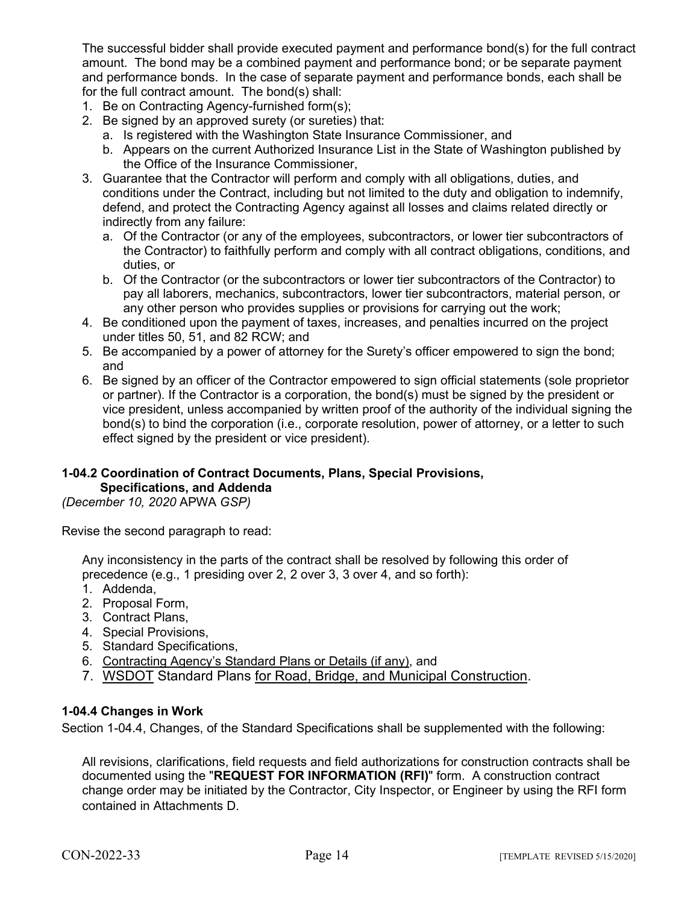The successful bidder shall provide executed payment and performance bond(s) for the full contract amount. The bond may be a combined payment and performance bond; or be separate payment and performance bonds. In the case of separate payment and performance bonds, each shall be for the full contract amount. The bond(s) shall:

- 1. Be on Contracting Agency-furnished form(s);
- 2. Be signed by an approved surety (or sureties) that:
	- a. Is registered with the Washington State Insurance Commissioner, and
	- b. Appears on the current Authorized Insurance List in the State of Washington published by the Office of the Insurance Commissioner,
- 3. Guarantee that the Contractor will perform and comply with all obligations, duties, and conditions under the Contract, including but not limited to the duty and obligation to indemnify, defend, and protect the Contracting Agency against all losses and claims related directly or indirectly from any failure:
	- a. Of the Contractor (or any of the employees, subcontractors, or lower tier subcontractors of the Contractor) to faithfully perform and comply with all contract obligations, conditions, and duties, or
	- b. Of the Contractor (or the subcontractors or lower tier subcontractors of the Contractor) to pay all laborers, mechanics, subcontractors, lower tier subcontractors, material person, or any other person who provides supplies or provisions for carrying out the work;
- 4. Be conditioned upon the payment of taxes, increases, and penalties incurred on the project under titles 50, 51, and 82 RCW; and
- 5. Be accompanied by a power of attorney for the Surety's officer empowered to sign the bond; and
- 6. Be signed by an officer of the Contractor empowered to sign official statements (sole proprietor or partner). If the Contractor is a corporation, the bond(s) must be signed by the president or vice president, unless accompanied by written proof of the authority of the individual signing the bond(s) to bind the corporation (i.e., corporate resolution, power of attorney, or a letter to such effect signed by the president or vice president).

#### **1-04.2 Coordination of Contract Documents, Plans, Special Provisions, Specifications, and Addenda**

*(December 10, 2020* APWA *GSP)*

Revise the second paragraph to read:

Any inconsistency in the parts of the contract shall be resolved by following this order of precedence (e.g., 1 presiding over 2, 2 over 3, 3 over 4, and so forth):

- 1. Addenda,
- 2. Proposal Form,
- 3. Contract Plans,
- 4. Special Provisions,
- 5. Standard Specifications,
- 6. Contracting Agency's Standard Plans or Details (if any), and
- 7. WSDOT Standard Plans for Road, Bridge, and Municipal Construction.

## **1-04.4 Changes in Work**

Section 1-04.4, Changes, of the Standard Specifications shall be supplemented with the following:

All revisions, clarifications, field requests and field authorizations for construction contracts shall be documented using the "**REQUEST FOR INFORMATION (RFI)**" form. A construction contract change order may be initiated by the Contractor, City Inspector, or Engineer by using the RFI form contained in Attachments D.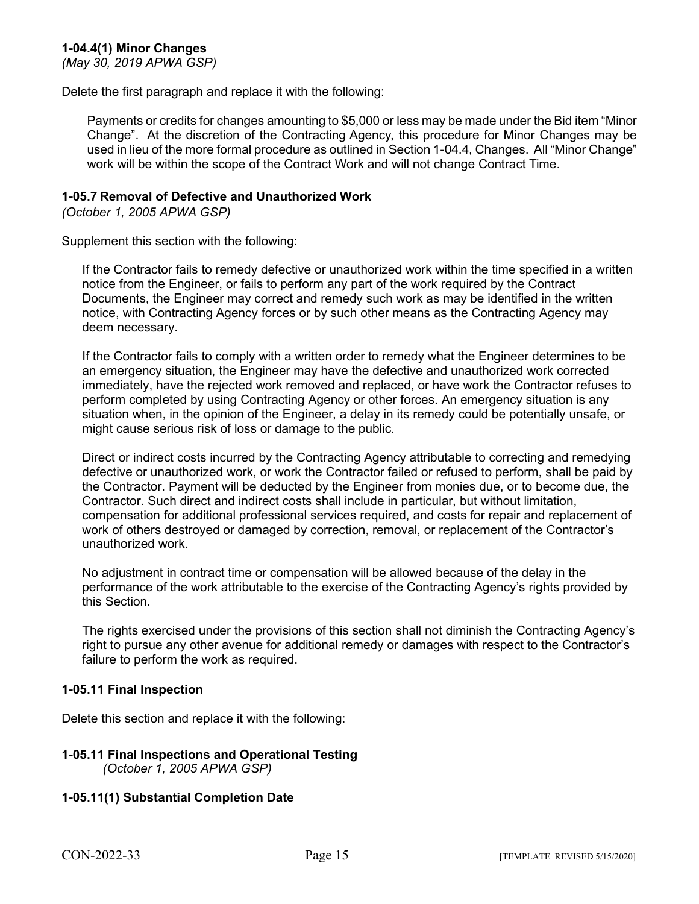## **1-04.4(1) Minor Changes**

*(May 30, 2019 APWA GSP)*

Delete the first paragraph and replace it with the following:

Payments or credits for changes amounting to \$5,000 or less may be made under the Bid item "Minor Change". At the discretion of the Contracting Agency, this procedure for Minor Changes may be used in lieu of the more formal procedure as outlined in Section 1-04.4, Changes. All "Minor Change" work will be within the scope of the Contract Work and will not change Contract Time.

## **1-05.7 Removal of Defective and Unauthorized Work**

*(October 1, 2005 APWA GSP)*

Supplement this section with the following:

If the Contractor fails to remedy defective or unauthorized work within the time specified in a written notice from the Engineer, or fails to perform any part of the work required by the Contract Documents, the Engineer may correct and remedy such work as may be identified in the written notice, with Contracting Agency forces or by such other means as the Contracting Agency may deem necessary.

If the Contractor fails to comply with a written order to remedy what the Engineer determines to be an emergency situation, the Engineer may have the defective and unauthorized work corrected immediately, have the rejected work removed and replaced, or have work the Contractor refuses to perform completed by using Contracting Agency or other forces. An emergency situation is any situation when, in the opinion of the Engineer, a delay in its remedy could be potentially unsafe, or might cause serious risk of loss or damage to the public.

Direct or indirect costs incurred by the Contracting Agency attributable to correcting and remedying defective or unauthorized work, or work the Contractor failed or refused to perform, shall be paid by the Contractor. Payment will be deducted by the Engineer from monies due, or to become due, the Contractor. Such direct and indirect costs shall include in particular, but without limitation, compensation for additional professional services required, and costs for repair and replacement of work of others destroyed or damaged by correction, removal, or replacement of the Contractor's unauthorized work.

No adjustment in contract time or compensation will be allowed because of the delay in the performance of the work attributable to the exercise of the Contracting Agency's rights provided by this Section.

The rights exercised under the provisions of this section shall not diminish the Contracting Agency's right to pursue any other avenue for additional remedy or damages with respect to the Contractor's failure to perform the work as required.

## **1-05.11 Final Inspection**

Delete this section and replace it with the following:

#### **1-05.11 Final Inspections and Operational Testing**  *(October 1, 2005 APWA GSP)*

## **1-05.11(1) Substantial Completion Date**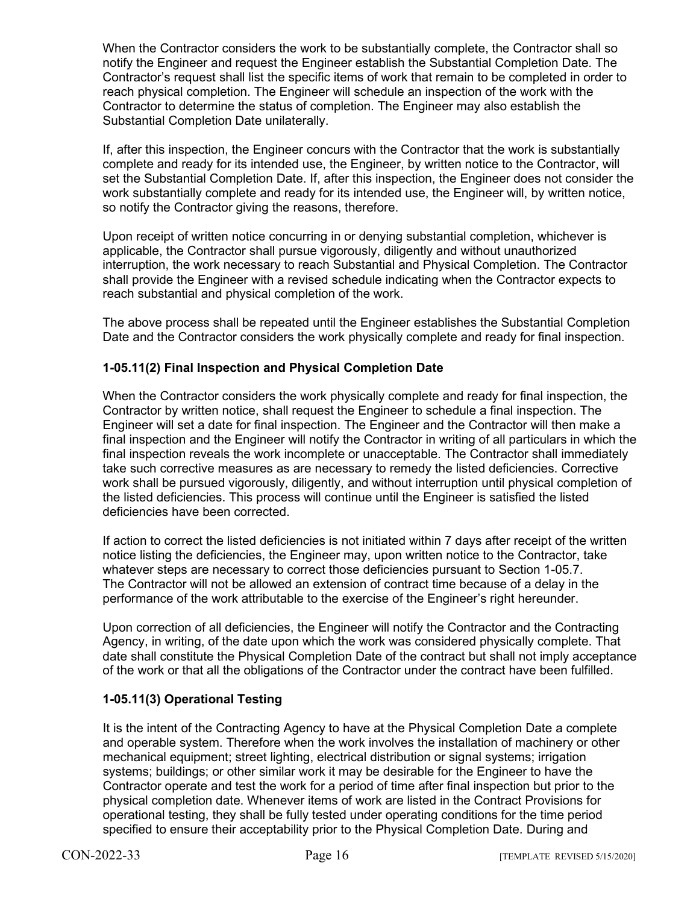When the Contractor considers the work to be substantially complete, the Contractor shall so notify the Engineer and request the Engineer establish the Substantial Completion Date. The Contractor's request shall list the specific items of work that remain to be completed in order to reach physical completion. The Engineer will schedule an inspection of the work with the Contractor to determine the status of completion. The Engineer may also establish the Substantial Completion Date unilaterally.

If, after this inspection, the Engineer concurs with the Contractor that the work is substantially complete and ready for its intended use, the Engineer, by written notice to the Contractor, will set the Substantial Completion Date. If, after this inspection, the Engineer does not consider the work substantially complete and ready for its intended use, the Engineer will, by written notice, so notify the Contractor giving the reasons, therefore.

Upon receipt of written notice concurring in or denying substantial completion, whichever is applicable, the Contractor shall pursue vigorously, diligently and without unauthorized interruption, the work necessary to reach Substantial and Physical Completion. The Contractor shall provide the Engineer with a revised schedule indicating when the Contractor expects to reach substantial and physical completion of the work.

The above process shall be repeated until the Engineer establishes the Substantial Completion Date and the Contractor considers the work physically complete and ready for final inspection.

## **1-05.11(2) Final Inspection and Physical Completion Date**

When the Contractor considers the work physically complete and ready for final inspection, the Contractor by written notice, shall request the Engineer to schedule a final inspection. The Engineer will set a date for final inspection. The Engineer and the Contractor will then make a final inspection and the Engineer will notify the Contractor in writing of all particulars in which the final inspection reveals the work incomplete or unacceptable. The Contractor shall immediately take such corrective measures as are necessary to remedy the listed deficiencies. Corrective work shall be pursued vigorously, diligently, and without interruption until physical completion of the listed deficiencies. This process will continue until the Engineer is satisfied the listed deficiencies have been corrected.

If action to correct the listed deficiencies is not initiated within 7 days after receipt of the written notice listing the deficiencies, the Engineer may, upon written notice to the Contractor, take whatever steps are necessary to correct those deficiencies pursuant to Section 1-05.7. The Contractor will not be allowed an extension of contract time because of a delay in the performance of the work attributable to the exercise of the Engineer's right hereunder.

Upon correction of all deficiencies, the Engineer will notify the Contractor and the Contracting Agency, in writing, of the date upon which the work was considered physically complete. That date shall constitute the Physical Completion Date of the contract but shall not imply acceptance of the work or that all the obligations of the Contractor under the contract have been fulfilled.

## **1-05.11(3) Operational Testing**

It is the intent of the Contracting Agency to have at the Physical Completion Date a complete and operable system. Therefore when the work involves the installation of machinery or other mechanical equipment; street lighting, electrical distribution or signal systems; irrigation systems; buildings; or other similar work it may be desirable for the Engineer to have the Contractor operate and test the work for a period of time after final inspection but prior to the physical completion date. Whenever items of work are listed in the Contract Provisions for operational testing, they shall be fully tested under operating conditions for the time period specified to ensure their acceptability prior to the Physical Completion Date. During and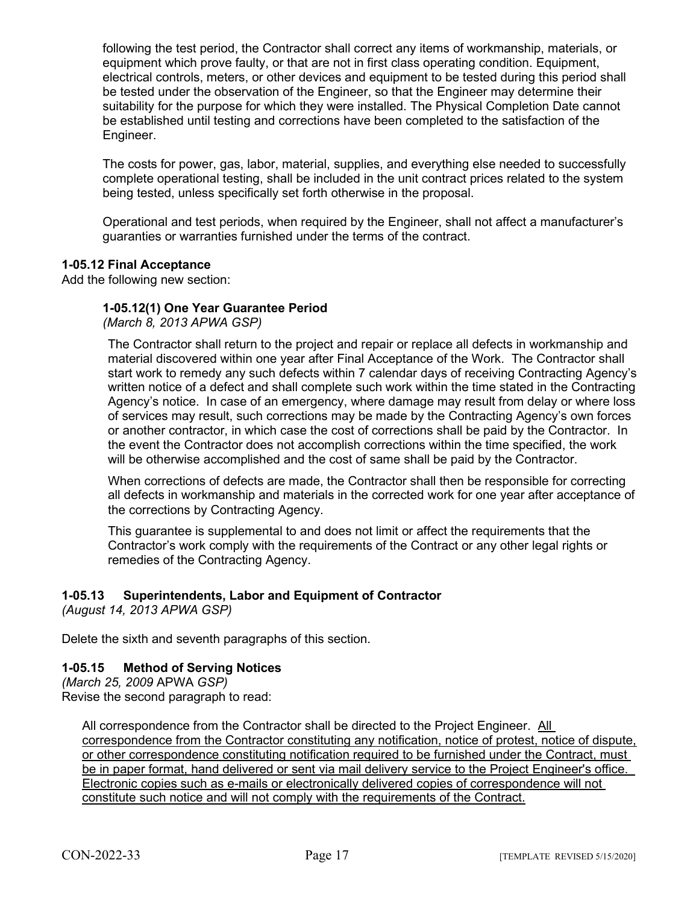following the test period, the Contractor shall correct any items of workmanship, materials, or equipment which prove faulty, or that are not in first class operating condition. Equipment, electrical controls, meters, or other devices and equipment to be tested during this period shall be tested under the observation of the Engineer, so that the Engineer may determine their suitability for the purpose for which they were installed. The Physical Completion Date cannot be established until testing and corrections have been completed to the satisfaction of the Engineer.

The costs for power, gas, labor, material, supplies, and everything else needed to successfully complete operational testing, shall be included in the unit contract prices related to the system being tested, unless specifically set forth otherwise in the proposal.

Operational and test periods, when required by the Engineer, shall not affect a manufacturer's guaranties or warranties furnished under the terms of the contract.

## **1-05.12 Final Acceptance**

Add the following new section:

## **1-05.12(1) One Year Guarantee Period**

*(March 8, 2013 APWA GSP)*

The Contractor shall return to the project and repair or replace all defects in workmanship and material discovered within one year after Final Acceptance of the Work. The Contractor shall start work to remedy any such defects within 7 calendar days of receiving Contracting Agency's written notice of a defect and shall complete such work within the time stated in the Contracting Agency's notice. In case of an emergency, where damage may result from delay or where loss of services may result, such corrections may be made by the Contracting Agency's own forces or another contractor, in which case the cost of corrections shall be paid by the Contractor. In the event the Contractor does not accomplish corrections within the time specified, the work will be otherwise accomplished and the cost of same shall be paid by the Contractor.

When corrections of defects are made, the Contractor shall then be responsible for correcting all defects in workmanship and materials in the corrected work for one year after acceptance of the corrections by Contracting Agency.

This guarantee is supplemental to and does not limit or affect the requirements that the Contractor's work comply with the requirements of the Contract or any other legal rights or remedies of the Contracting Agency.

## **1-05.13 Superintendents, Labor and Equipment of Contractor**

*(August 14, 2013 APWA GSP)*

Delete the sixth and seventh paragraphs of this section.

## **1-05.15 Method of Serving Notices**

*(March 25, 2009* APWA *GSP)* Revise the second paragraph to read:

All correspondence from the Contractor shall be directed to the Project Engineer. All correspondence from the Contractor constituting any notification, notice of protest, notice of dispute, or other correspondence constituting notification required to be furnished under the Contract, must be in paper format, hand delivered or sent via mail delivery service to the Project Engineer's office. Electronic copies such as e-mails or electronically delivered copies of correspondence will not constitute such notice and will not comply with the requirements of the Contract.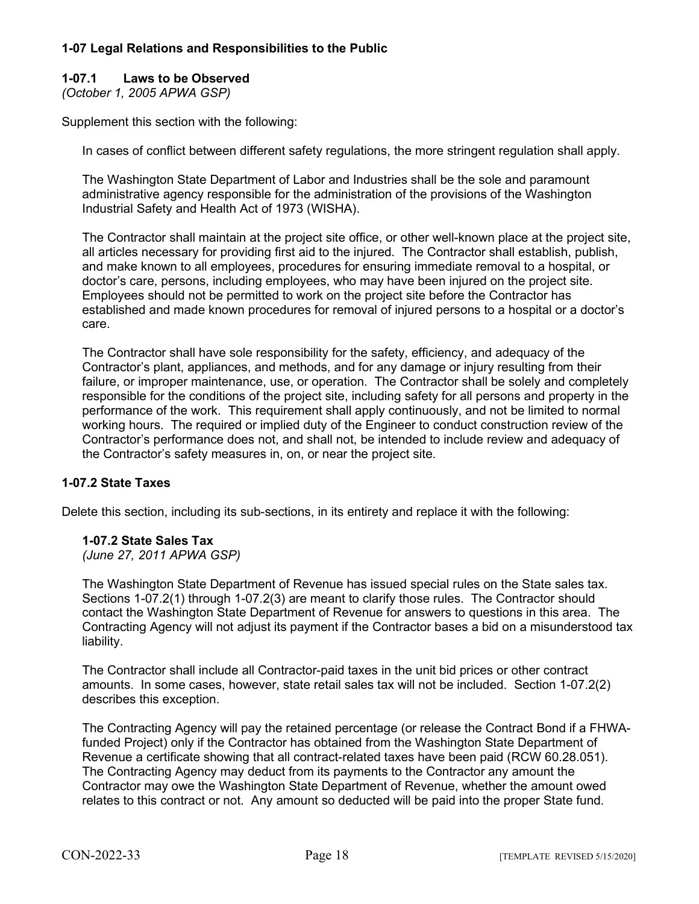## **1-07 Legal Relations and Responsibilities to the Public**

## **1-07.1 Laws to be Observed**

*(October 1, 2005 APWA GSP)*

Supplement this section with the following:

In cases of conflict between different safety regulations, the more stringent regulation shall apply.

The Washington State Department of Labor and Industries shall be the sole and paramount administrative agency responsible for the administration of the provisions of the Washington Industrial Safety and Health Act of 1973 (WISHA).

The Contractor shall maintain at the project site office, or other well-known place at the project site, all articles necessary for providing first aid to the injured. The Contractor shall establish, publish, and make known to all employees, procedures for ensuring immediate removal to a hospital, or doctor's care, persons, including employees, who may have been injured on the project site. Employees should not be permitted to work on the project site before the Contractor has established and made known procedures for removal of injured persons to a hospital or a doctor's care.

The Contractor shall have sole responsibility for the safety, efficiency, and adequacy of the Contractor's plant, appliances, and methods, and for any damage or injury resulting from their failure, or improper maintenance, use, or operation. The Contractor shall be solely and completely responsible for the conditions of the project site, including safety for all persons and property in the performance of the work. This requirement shall apply continuously, and not be limited to normal working hours. The required or implied duty of the Engineer to conduct construction review of the Contractor's performance does not, and shall not, be intended to include review and adequacy of the Contractor's safety measures in, on, or near the project site.

## **1-07.2 State Taxes**

Delete this section, including its sub-sections, in its entirety and replace it with the following:

## **1-07.2 State Sales Tax**

*(June 27, 2011 APWA GSP)*

The Washington State Department of Revenue has issued special rules on the State sales tax. Sections 1-07.2(1) through 1-07.2(3) are meant to clarify those rules. The Contractor should contact the Washington State Department of Revenue for answers to questions in this area. The Contracting Agency will not adjust its payment if the Contractor bases a bid on a misunderstood tax liability.

The Contractor shall include all Contractor-paid taxes in the unit bid prices or other contract amounts. In some cases, however, state retail sales tax will not be included. Section 1-07.2(2) describes this exception.

The Contracting Agency will pay the retained percentage (or release the Contract Bond if a FHWAfunded Project) only if the Contractor has obtained from the Washington State Department of Revenue a certificate showing that all contract-related taxes have been paid (RCW 60.28.051). The Contracting Agency may deduct from its payments to the Contractor any amount the Contractor may owe the Washington State Department of Revenue, whether the amount owed relates to this contract or not. Any amount so deducted will be paid into the proper State fund.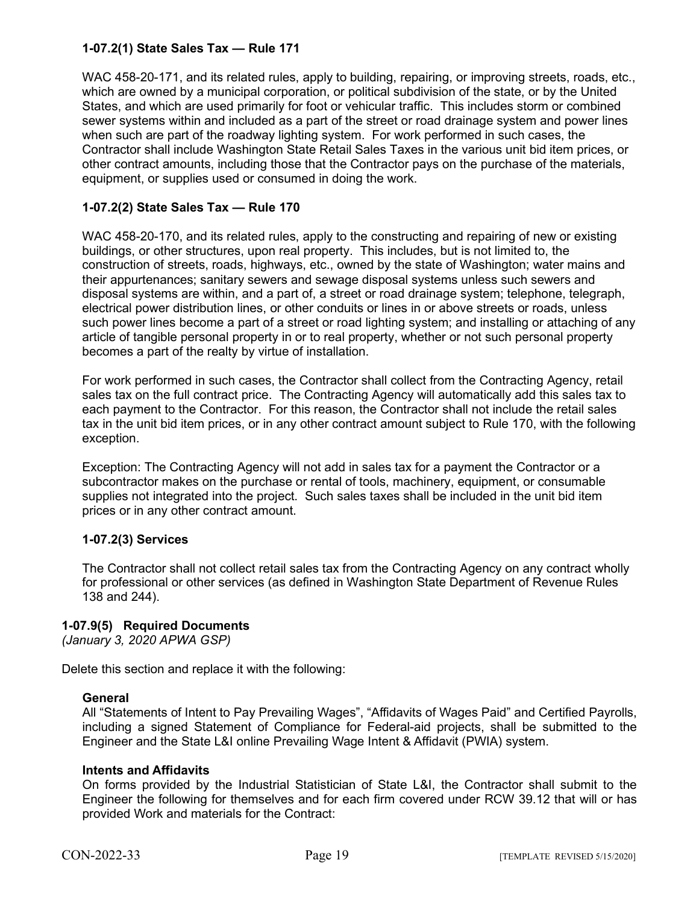## **1-07.2(1) State Sales Tax — Rule 171**

WAC 458-20-171, and its related rules, apply to building, repairing, or improving streets, roads, etc., which are owned by a municipal corporation, or political subdivision of the state, or by the United States, and which are used primarily for foot or vehicular traffic. This includes storm or combined sewer systems within and included as a part of the street or road drainage system and power lines when such are part of the roadway lighting system. For work performed in such cases, the Contractor shall include Washington State Retail Sales Taxes in the various unit bid item prices, or other contract amounts, including those that the Contractor pays on the purchase of the materials, equipment, or supplies used or consumed in doing the work.

## **1-07.2(2) State Sales Tax — Rule 170**

WAC 458-20-170, and its related rules, apply to the constructing and repairing of new or existing buildings, or other structures, upon real property. This includes, but is not limited to, the construction of streets, roads, highways, etc., owned by the state of Washington; water mains and their appurtenances; sanitary sewers and sewage disposal systems unless such sewers and disposal systems are within, and a part of, a street or road drainage system; telephone, telegraph, electrical power distribution lines, or other conduits or lines in or above streets or roads, unless such power lines become a part of a street or road lighting system; and installing or attaching of any article of tangible personal property in or to real property, whether or not such personal property becomes a part of the realty by virtue of installation.

For work performed in such cases, the Contractor shall collect from the Contracting Agency, retail sales tax on the full contract price. The Contracting Agency will automatically add this sales tax to each payment to the Contractor. For this reason, the Contractor shall not include the retail sales tax in the unit bid item prices, or in any other contract amount subject to Rule 170, with the following exception.

Exception: The Contracting Agency will not add in sales tax for a payment the Contractor or a subcontractor makes on the purchase or rental of tools, machinery, equipment, or consumable supplies not integrated into the project. Such sales taxes shall be included in the unit bid item prices or in any other contract amount.

## **1-07.2(3) Services**

The Contractor shall not collect retail sales tax from the Contracting Agency on any contract wholly for professional or other services (as defined in Washington State Department of Revenue Rules 138 and 244).

## **1-07.9(5) Required Documents**

*(January 3, 2020 APWA GSP)*

Delete this section and replace it with the following:

## **General**

All "Statements of Intent to Pay Prevailing Wages", "Affidavits of Wages Paid" and Certified Payrolls, including a signed Statement of Compliance for Federal-aid projects, shall be submitted to the Engineer and the State L&I online Prevailing Wage Intent & Affidavit (PWIA) system.

## **Intents and Affidavits**

On forms provided by the Industrial Statistician of State L&I, the Contractor shall submit to the Engineer the following for themselves and for each firm covered under RCW 39.12 that will or has provided Work and materials for the Contract: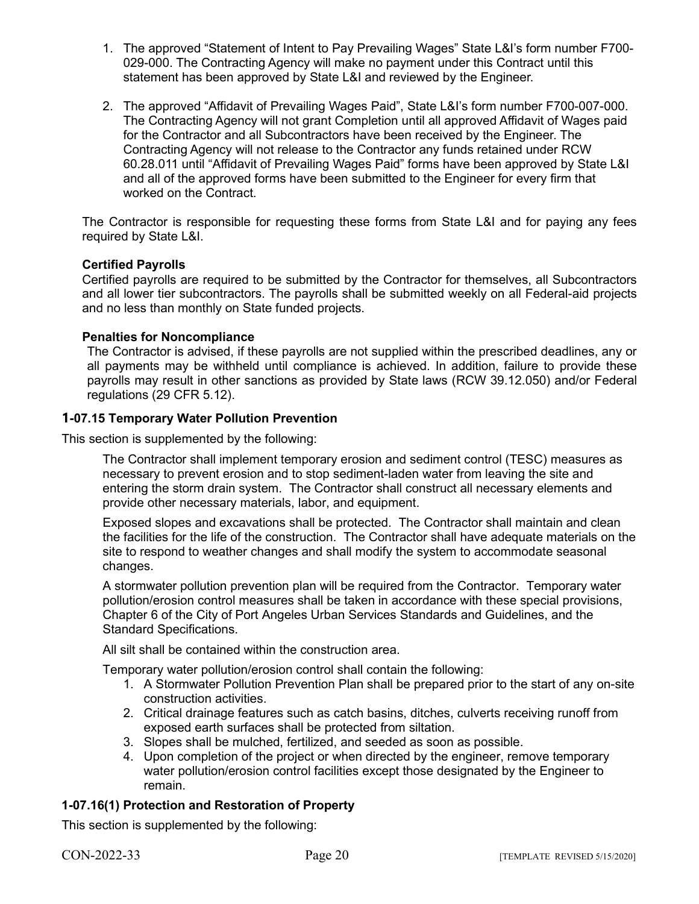- 1. The approved "Statement of Intent to Pay Prevailing Wages" State L&I's form number F700- 029-000. The Contracting Agency will make no payment under this Contract until this statement has been approved by State L&I and reviewed by the Engineer.
- 2. The approved "Affidavit of Prevailing Wages Paid", State L&I's form number F700-007-000. The Contracting Agency will not grant Completion until all approved Affidavit of Wages paid for the Contractor and all Subcontractors have been received by the Engineer. The Contracting Agency will not release to the Contractor any funds retained under RCW 60.28.011 until "Affidavit of Prevailing Wages Paid" forms have been approved by State L&I and all of the approved forms have been submitted to the Engineer for every firm that worked on the Contract.

The Contractor is responsible for requesting these forms from State L&I and for paying any fees required by State L&I.

## **Certified Payrolls**

Certified payrolls are required to be submitted by the Contractor for themselves, all Subcontractors and all lower tier subcontractors. The payrolls shall be submitted weekly on all Federal-aid projects and no less than monthly on State funded projects.

## **Penalties for Noncompliance**

The Contractor is advised, if these payrolls are not supplied within the prescribed deadlines, any or all payments may be withheld until compliance is achieved. In addition, failure to provide these payrolls may result in other sanctions as provided by State laws (RCW 39.12.050) and/or Federal regulations (29 CFR 5.12).

## **1-07.15 Temporary Water Pollution Prevention**

This section is supplemented by the following:

The Contractor shall implement temporary erosion and sediment control (TESC) measures as necessary to prevent erosion and to stop sediment-laden water from leaving the site and entering the storm drain system. The Contractor shall construct all necessary elements and provide other necessary materials, labor, and equipment.

Exposed slopes and excavations shall be protected. The Contractor shall maintain and clean the facilities for the life of the construction. The Contractor shall have adequate materials on the site to respond to weather changes and shall modify the system to accommodate seasonal changes.

A stormwater pollution prevention plan will be required from the Contractor. Temporary water pollution/erosion control measures shall be taken in accordance with these special provisions, Chapter 6 of the City of Port Angeles Urban Services Standards and Guidelines, and the Standard Specifications.

All silt shall be contained within the construction area.

Temporary water pollution/erosion control shall contain the following:

- 1. A Stormwater Pollution Prevention Plan shall be prepared prior to the start of any on-site construction activities.
- 2. Critical drainage features such as catch basins, ditches, culverts receiving runoff from exposed earth surfaces shall be protected from siltation.
- 3. Slopes shall be mulched, fertilized, and seeded as soon as possible.
- 4. Upon completion of the project or when directed by the engineer, remove temporary water pollution/erosion control facilities except those designated by the Engineer to remain.

## **1-07.16(1) Protection and Restoration of Property**

This section is supplemented by the following: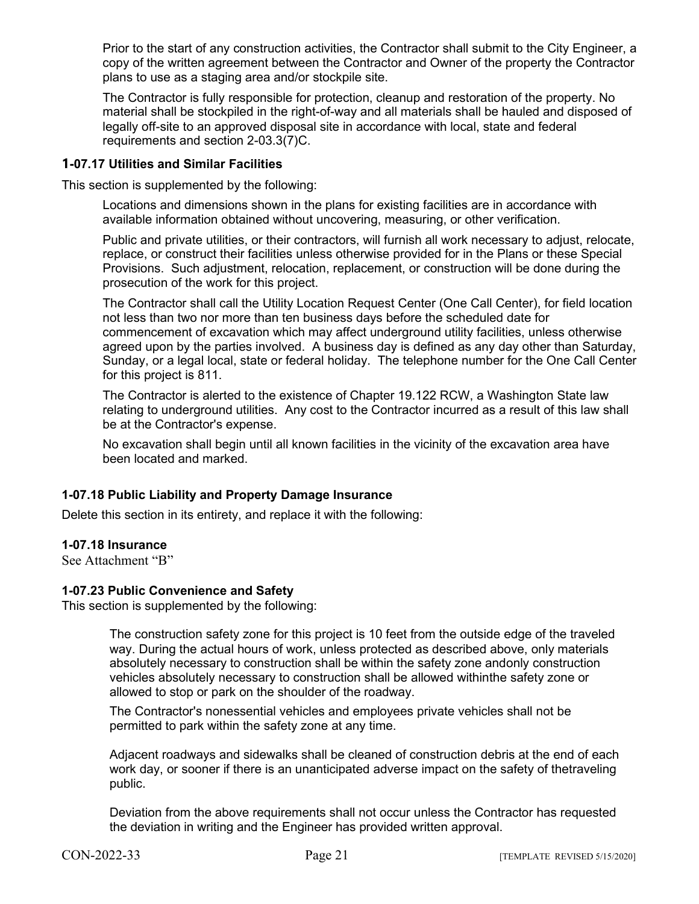Prior to the start of any construction activities, the Contractor shall submit to the City Engineer, a copy of the written agreement between the Contractor and Owner of the property the Contractor plans to use as a staging area and/or stockpile site.

The Contractor is fully responsible for protection, cleanup and restoration of the property. No material shall be stockpiled in the right-of-way and all materials shall be hauled and disposed of legally off-site to an approved disposal site in accordance with local, state and federal requirements and section 2-03.3(7)C.

## **1-07.17 Utilities and Similar Facilities**

This section is supplemented by the following:

Locations and dimensions shown in the plans for existing facilities are in accordance with available information obtained without uncovering, measuring, or other verification.

Public and private utilities, or their contractors, will furnish all work necessary to adjust, relocate, replace, or construct their facilities unless otherwise provided for in the Plans or these Special Provisions. Such adjustment, relocation, replacement, or construction will be done during the prosecution of the work for this project.

The Contractor shall call the Utility Location Request Center (One Call Center), for field location not less than two nor more than ten business days before the scheduled date for commencement of excavation which may affect underground utility facilities, unless otherwise agreed upon by the parties involved. A business day is defined as any day other than Saturday, Sunday, or a legal local, state or federal holiday. The telephone number for the One Call Center for this project is 811.

The Contractor is alerted to the existence of Chapter 19.122 RCW, a Washington State law relating to underground utilities. Any cost to the Contractor incurred as a result of this law shall be at the Contractor's expense.

No excavation shall begin until all known facilities in the vicinity of the excavation area have been located and marked.

## **1-07.18 Public Liability and Property Damage Insurance**

Delete this section in its entirety, and replace it with the following:

## **1-07.18 Insurance**

See Attachment "B"

## **1-07.23 Public Convenience and Safety**

This section is supplemented by the following:

The construction safety zone for this project is 10 feet from the outside edge of the traveled way. During the actual hours of work, unless protected as described above, only materials absolutely necessary to construction shall be within the safety zone andonly construction vehicles absolutely necessary to construction shall be allowed withinthe safety zone or allowed to stop or park on the shoulder of the roadway.

The Contractor's nonessential vehicles and employees private vehicles shall not be permitted to park within the safety zone at any time.

Adjacent roadways and sidewalks shall be cleaned of construction debris at the end of each work day, or sooner if there is an unanticipated adverse impact on the safety of thetraveling public.

Deviation from the above requirements shall not occur unless the Contractor has requested the deviation in writing and the Engineer has provided written approval.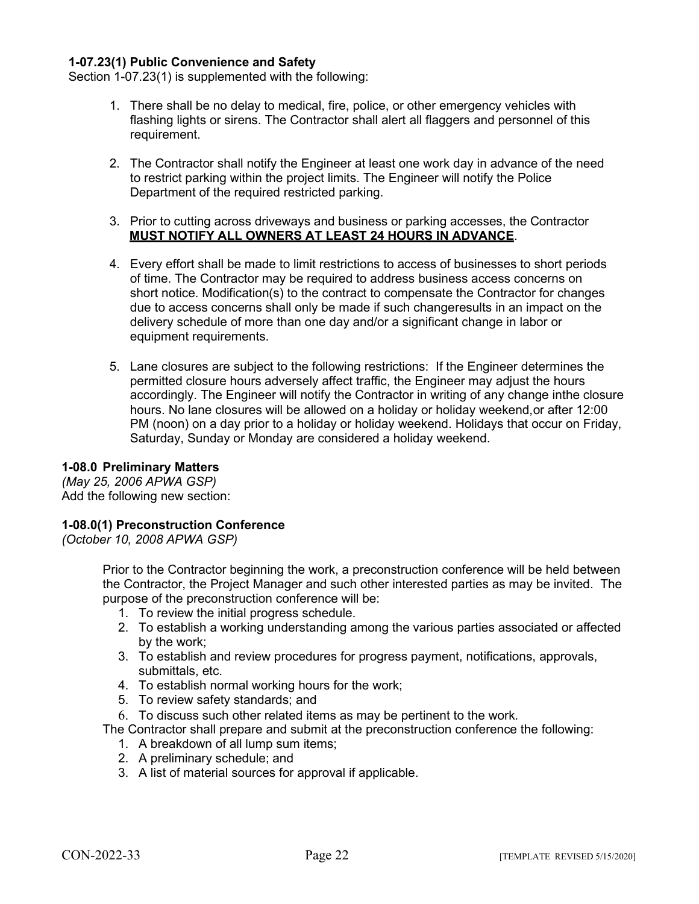## **1-07.23(1) Public Convenience and Safety**

Section 1-07.23(1) is supplemented with the following:

- 1. There shall be no delay to medical, fire, police, or other emergency vehicles with flashing lights or sirens. The Contractor shall alert all flaggers and personnel of this requirement.
- 2. The Contractor shall notify the Engineer at least one work day in advance of the need to restrict parking within the project limits. The Engineer will notify the Police Department of the required restricted parking.
- 3. Prior to cutting across driveways and business or parking accesses, the Contractor **MUST NOTIFY ALL OWNERS AT LEAST 24 HOURS IN ADVANCE**.
- 4. Every effort shall be made to limit restrictions to access of businesses to short periods of time. The Contractor may be required to address business access concerns on short notice. Modification(s) to the contract to compensate the Contractor for changes due to access concerns shall only be made if such changeresults in an impact on the delivery schedule of more than one day and/or a significant change in labor or equipment requirements.
- 5. Lane closures are subject to the following restrictions: If the Engineer determines the permitted closure hours adversely affect traffic, the Engineer may adjust the hours accordingly. The Engineer will notify the Contractor in writing of any change inthe closure hours. No lane closures will be allowed on a holiday or holiday weekend,or after 12:00 PM (noon) on a day prior to a holiday or holiday weekend. Holidays that occur on Friday, Saturday, Sunday or Monday are considered a holiday weekend.

## **1-08.0 Preliminary Matters**

*(May 25, 2006 APWA GSP)* Add the following new section:

## **1-08.0(1) Preconstruction Conference**

*(October 10, 2008 APWA GSP)*

Prior to the Contractor beginning the work, a preconstruction conference will be held between the Contractor, the Project Manager and such other interested parties as may be invited. The purpose of the preconstruction conference will be:

- 1. To review the initial progress schedule.
- 2. To establish a working understanding among the various parties associated or affected by the work;
- 3. To establish and review procedures for progress payment, notifications, approvals, submittals, etc.
- 4. To establish normal working hours for the work;
- 5. To review safety standards; and
- 6. To discuss such other related items as may be pertinent to the work.

The Contractor shall prepare and submit at the preconstruction conference the following:

- 1. A breakdown of all lump sum items;
- 2. A preliminary schedule; and
- 3. A list of material sources for approval if applicable.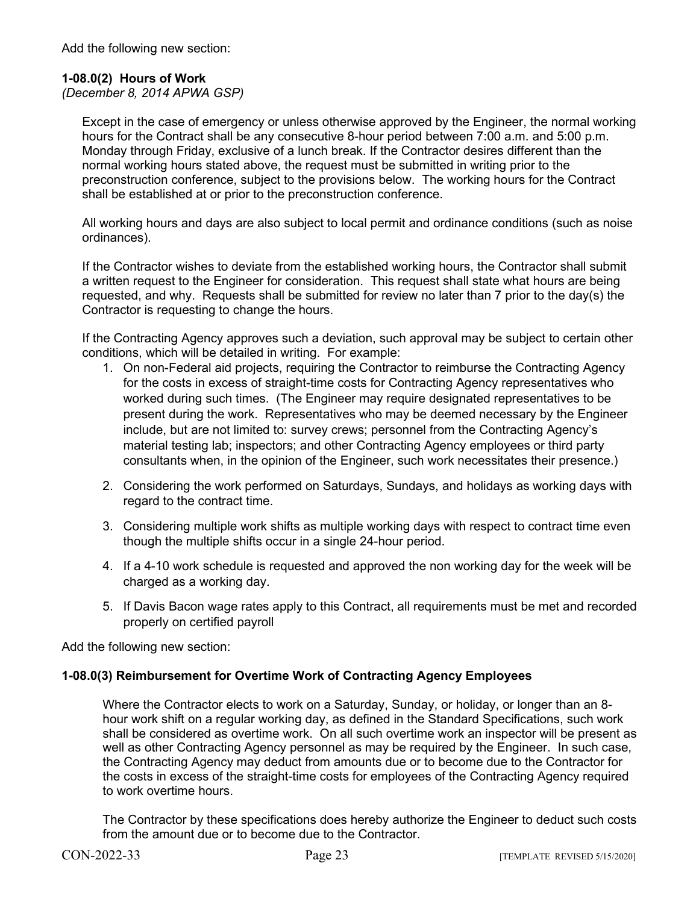Add the following new section:

## **1-08.0(2) Hours of Work**

*(December 8, 2014 APWA GSP)*

Except in the case of emergency or unless otherwise approved by the Engineer, the normal working hours for the Contract shall be any consecutive 8-hour period between 7:00 a.m. and 5:00 p.m. Monday through Friday, exclusive of a lunch break. If the Contractor desires different than the normal working hours stated above, the request must be submitted in writing prior to the preconstruction conference, subject to the provisions below. The working hours for the Contract shall be established at or prior to the preconstruction conference.

All working hours and days are also subject to local permit and ordinance conditions (such as noise ordinances).

If the Contractor wishes to deviate from the established working hours, the Contractor shall submit a written request to the Engineer for consideration. This request shall state what hours are being requested, and why. Requests shall be submitted for review no later than 7 prior to the day(s) the Contractor is requesting to change the hours.

If the Contracting Agency approves such a deviation, such approval may be subject to certain other conditions, which will be detailed in writing. For example:

- 1. On non-Federal aid projects, requiring the Contractor to reimburse the Contracting Agency for the costs in excess of straight-time costs for Contracting Agency representatives who worked during such times. (The Engineer may require designated representatives to be present during the work. Representatives who may be deemed necessary by the Engineer include, but are not limited to: survey crews; personnel from the Contracting Agency's material testing lab; inspectors; and other Contracting Agency employees or third party consultants when, in the opinion of the Engineer, such work necessitates their presence.)
- 2. Considering the work performed on Saturdays, Sundays, and holidays as working days with regard to the contract time.
- 3. Considering multiple work shifts as multiple working days with respect to contract time even though the multiple shifts occur in a single 24-hour period.
- 4. If a 4-10 work schedule is requested and approved the non working day for the week will be charged as a working day.
- 5. If Davis Bacon wage rates apply to this Contract, all requirements must be met and recorded properly on certified payroll

Add the following new section:

## **1-08.0(3) Reimbursement for Overtime Work of Contracting Agency Employees**

Where the Contractor elects to work on a Saturday, Sunday, or holiday, or longer than an 8 hour work shift on a regular working day, as defined in the Standard Specifications, such work shall be considered as overtime work. On all such overtime work an inspector will be present as well as other Contracting Agency personnel as may be required by the Engineer. In such case, the Contracting Agency may deduct from amounts due or to become due to the Contractor for the costs in excess of the straight-time costs for employees of the Contracting Agency required to work overtime hours.

The Contractor by these specifications does hereby authorize the Engineer to deduct such costs from the amount due or to become due to the Contractor.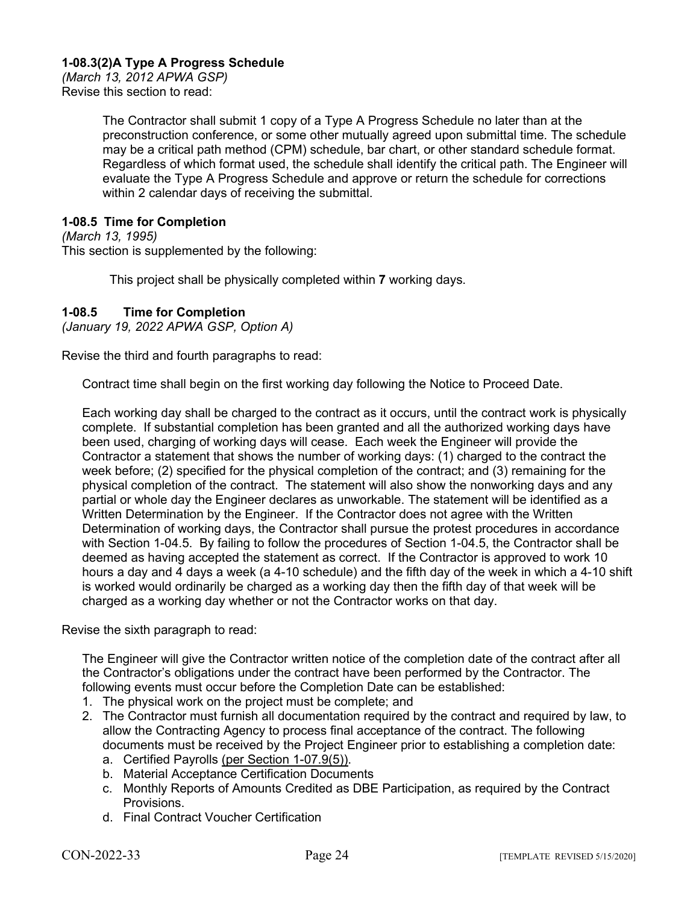## **1-08.3(2)A Type A Progress Schedule**

*(March 13, 2012 APWA GSP)* Revise this section to read:

> The Contractor shall submit 1 copy of a Type A Progress Schedule no later than at the preconstruction conference, or some other mutually agreed upon submittal time. The schedule may be a critical path method (CPM) schedule, bar chart, or other standard schedule format. Regardless of which format used, the schedule shall identify the critical path. The Engineer will evaluate the Type A Progress Schedule and approve or return the schedule for corrections within 2 calendar days of receiving the submittal.

## **1-08.5 Time for Completion**

*(March 13, 1995)* This section is supplemented by the following:

This project shall be physically completed within **7** working days.

## **1-08.5 Time for Completion**

*(January 19, 2022 APWA GSP, Option A)*

Revise the third and fourth paragraphs to read:

Contract time shall begin on the first working day following the Notice to Proceed Date.

Each working day shall be charged to the contract as it occurs, until the contract work is physically complete. If substantial completion has been granted and all the authorized working days have been used, charging of working days will cease. Each week the Engineer will provide the Contractor a statement that shows the number of working days: (1) charged to the contract the week before; (2) specified for the physical completion of the contract; and (3) remaining for the physical completion of the contract. The statement will also show the nonworking days and any partial or whole day the Engineer declares as unworkable. The statement will be identified as a Written Determination by the Engineer. If the Contractor does not agree with the Written Determination of working days, the Contractor shall pursue the protest procedures in accordance with Section 1-04.5. By failing to follow the procedures of Section 1-04.5, the Contractor shall be deemed as having accepted the statement as correct. If the Contractor is approved to work 10 hours a day and  $\overline{4}$  days a week (a 4-10 schedule) and the fifth day of the week in which a 4-10 shift is worked would ordinarily be charged as a working day then the fifth day of that week will be charged as a working day whether or not the Contractor works on that day.

Revise the sixth paragraph to read:

The Engineer will give the Contractor written notice of the completion date of the contract after all the Contractor's obligations under the contract have been performed by the Contractor. The following events must occur before the Completion Date can be established:

- 1. The physical work on the project must be complete; and
- 2. The Contractor must furnish all documentation required by the contract and required by law, to allow the Contracting Agency to process final acceptance of the contract. The following documents must be received by the Project Engineer prior to establishing a completion date:
	- a. Certified Payrolls (per Section 1-07.9(5)).
	- b. Material Acceptance Certification Documents
	- c. Monthly Reports of Amounts Credited as DBE Participation, as required by the Contract Provisions.
	- d. Final Contract Voucher Certification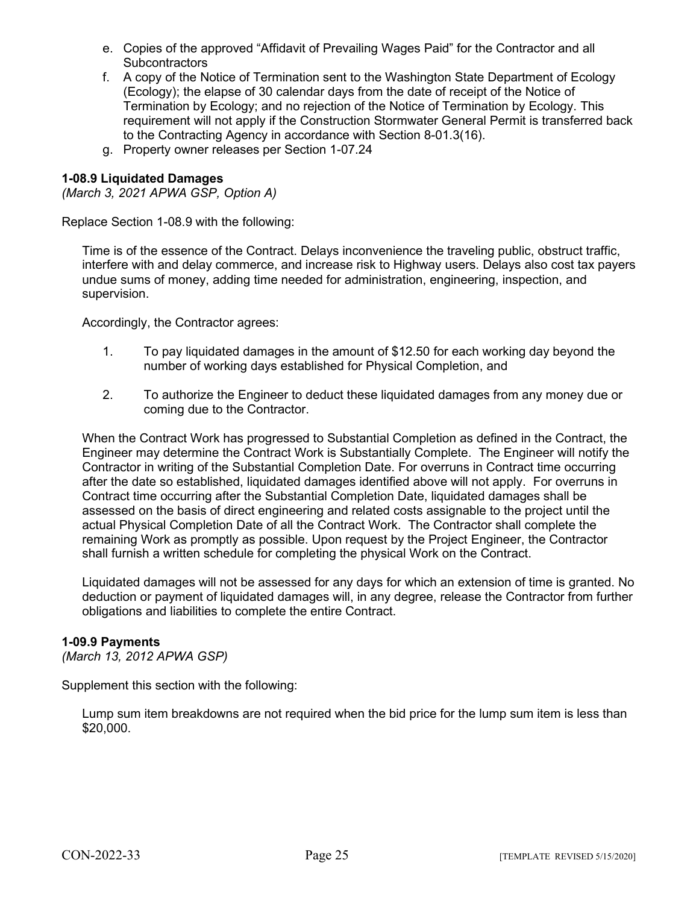- e. Copies of the approved "Affidavit of Prevailing Wages Paid" for the Contractor and all **Subcontractors**
- f. A copy of the Notice of Termination sent to the Washington State Department of Ecology (Ecology); the elapse of 30 calendar days from the date of receipt of the Notice of Termination by Ecology; and no rejection of the Notice of Termination by Ecology. This requirement will not apply if the Construction Stormwater General Permit is transferred back to the Contracting Agency in accordance with Section 8-01.3(16).
- g. Property owner releases per Section 1-07.24

## **1-08.9 Liquidated Damages**

*(March 3, 2021 APWA GSP, Option A)*

Replace Section 1-08.9 with the following:

Time is of the essence of the Contract. Delays inconvenience the traveling public, obstruct traffic, interfere with and delay commerce, and increase risk to Highway users. Delays also cost tax payers undue sums of money, adding time needed for administration, engineering, inspection, and supervision.

Accordingly, the Contractor agrees:

- 1. To pay liquidated damages in the amount of \$12.50 for each working day beyond the number of working days established for Physical Completion, and
- 2. To authorize the Engineer to deduct these liquidated damages from any money due or coming due to the Contractor.

When the Contract Work has progressed to Substantial Completion as defined in the Contract, the Engineer may determine the Contract Work is Substantially Complete. The Engineer will notify the Contractor in writing of the Substantial Completion Date. For overruns in Contract time occurring after the date so established, liquidated damages identified above will not apply. For overruns in Contract time occurring after the Substantial Completion Date, liquidated damages shall be assessed on the basis of direct engineering and related costs assignable to the project until the actual Physical Completion Date of all the Contract Work. The Contractor shall complete the remaining Work as promptly as possible. Upon request by the Project Engineer, the Contractor shall furnish a written schedule for completing the physical Work on the Contract.

Liquidated damages will not be assessed for any days for which an extension of time is granted. No deduction or payment of liquidated damages will, in any degree, release the Contractor from further obligations and liabilities to complete the entire Contract.

## **1-09.9 Payments**

*(March 13, 2012 APWA GSP)*

Supplement this section with the following:

Lump sum item breakdowns are not required when the bid price for the lump sum item is less than \$20,000.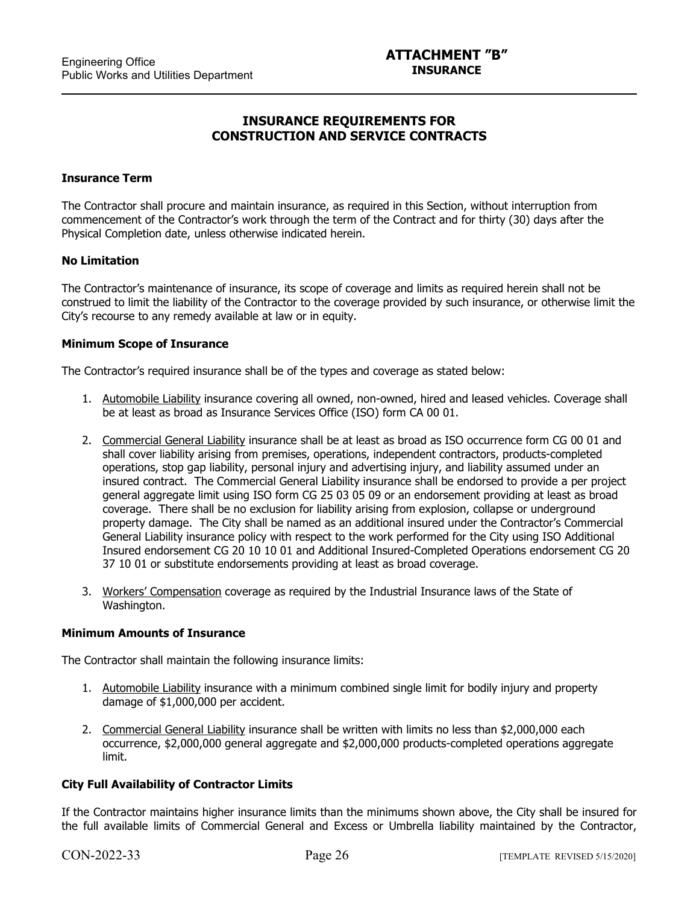## **INSURANCE REQUIREMENTS FOR CONSTRUCTION AND SERVICE CONTRACTS**

#### **Insurance Term**

 $\ddot{\phantom{a}}$ 

The Contractor shall procure and maintain insurance, as required in this Section, without interruption from commencement of the Contractor's work through the term of the Contract and for thirty (30) days after the Physical Completion date, unless otherwise indicated herein.

#### **No Limitation**

The Contractor's maintenance of insurance, its scope of coverage and limits as required herein shall not be construed to limit the liability of the Contractor to the coverage provided by such insurance, or otherwise limit the City's recourse to any remedy available at law or in equity.

#### **Minimum Scope of Insurance**

The Contractor's required insurance shall be of the types and coverage as stated below:

- 1. Automobile Liability insurance covering all owned, non-owned, hired and leased vehicles. Coverage shall be at least as broad as Insurance Services Office (ISO) form CA 00 01.
- 2. Commercial General Liability insurance shall be at least as broad as ISO occurrence form CG 00 01 and shall cover liability arising from premises, operations, independent contractors, products-completed operations, stop gap liability, personal injury and advertising injury, and liability assumed under an insured contract. The Commercial General Liability insurance shall be endorsed to provide a per project general aggregate limit using ISO form CG 25 03 05 09 or an endorsement providing at least as broad coverage. There shall be no exclusion for liability arising from explosion, collapse or underground property damage. The City shall be named as an additional insured under the Contractor's Commercial General Liability insurance policy with respect to the work performed for the City using ISO Additional Insured endorsement CG 20 10 10 01 and Additional Insured-Completed Operations endorsement CG 20 37 10 01 or substitute endorsements providing at least as broad coverage.
- 3. Workers' Compensation coverage as required by the Industrial Insurance laws of the State of Washington.

#### **Minimum Amounts of Insurance**

The Contractor shall maintain the following insurance limits:

- 1. Automobile Liability insurance with a minimum combined single limit for bodily injury and property damage of \$1,000,000 per accident.
- 2. Commercial General Liability insurance shall be written with limits no less than \$2,000,000 each occurrence, \$2,000,000 general aggregate and \$2,000,000 products-completed operations aggregate limit.

## **City Full Availability of Contractor Limits**

If the Contractor maintains higher insurance limits than the minimums shown above, the City shall be insured for the full available limits of Commercial General and Excess or Umbrella liability maintained by the Contractor,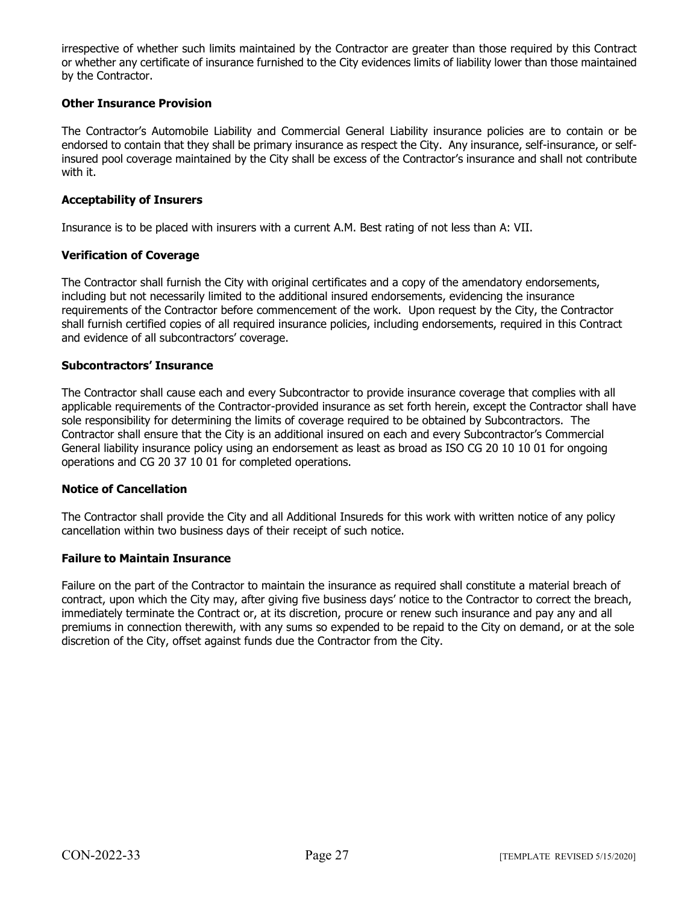irrespective of whether such limits maintained by the Contractor are greater than those required by this Contract or whether any certificate of insurance furnished to the City evidences limits of liability lower than those maintained by the Contractor.

## **Other Insurance Provision**

The Contractor's Automobile Liability and Commercial General Liability insurance policies are to contain or be endorsed to contain that they shall be primary insurance as respect the City. Any insurance, self-insurance, or selfinsured pool coverage maintained by the City shall be excess of the Contractor's insurance and shall not contribute with it.

## **Acceptability of Insurers**

Insurance is to be placed with insurers with a current A.M. Best rating of not less than A: VII.

## **Verification of Coverage**

The Contractor shall furnish the City with original certificates and a copy of the amendatory endorsements, including but not necessarily limited to the additional insured endorsements, evidencing the insurance requirements of the Contractor before commencement of the work. Upon request by the City, the Contractor shall furnish certified copies of all required insurance policies, including endorsements, required in this Contract and evidence of all subcontractors' coverage.

## **Subcontractors' Insurance**

The Contractor shall cause each and every Subcontractor to provide insurance coverage that complies with all applicable requirements of the Contractor-provided insurance as set forth herein, except the Contractor shall have sole responsibility for determining the limits of coverage required to be obtained by Subcontractors. The Contractor shall ensure that the City is an additional insured on each and every Subcontractor's Commercial General liability insurance policy using an endorsement as least as broad as ISO CG 20 10 10 01 for ongoing operations and CG 20 37 10 01 for completed operations.

## **Notice of Cancellation**

The Contractor shall provide the City and all Additional Insureds for this work with written notice of any policy cancellation within two business days of their receipt of such notice.

## **Failure to Maintain Insurance**

Failure on the part of the Contractor to maintain the insurance as required shall constitute a material breach of contract, upon which the City may, after giving five business days' notice to the Contractor to correct the breach, immediately terminate the Contract or, at its discretion, procure or renew such insurance and pay any and all premiums in connection therewith, with any sums so expended to be repaid to the City on demand, or at the sole discretion of the City, offset against funds due the Contractor from the City.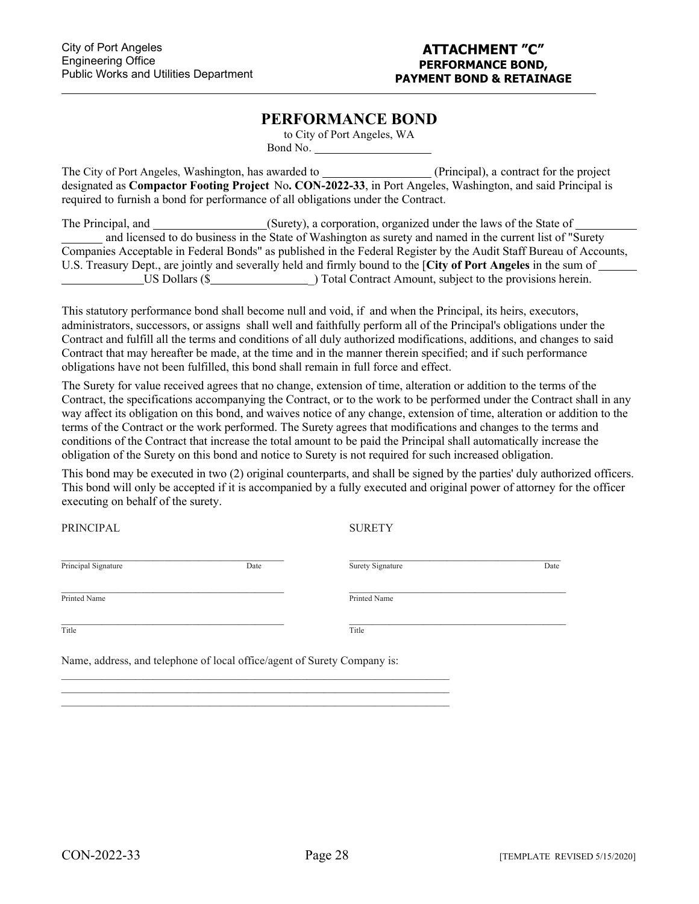$\ddot{\phantom{a}}$ 

## **PERFORMANCE BOND**

to City of Port Angeles, WA Bond No.

The City of Port Angeles, Washington, has awarded to (Principal), a contract for the project designated as **Compactor Footing Project** No**. CON-2022-33**, in Port Angeles, Washington, and said Principal is required to furnish a bond for performance of all obligations under the Contract.

| The Principal, and | (Surety), a corporation, organized under the laws of the State of                                                  |
|--------------------|--------------------------------------------------------------------------------------------------------------------|
|                    | and licensed to do business in the State of Washington as surety and named in the current list of "Surety"         |
|                    | Companies Acceptable in Federal Bonds" as published in the Federal Register by the Audit Staff Bureau of Accounts, |
|                    | U.S. Treasury Dept., are jointly and severally held and firmly bound to the [City of Port Angeles in the sum of    |
| US Dollars (\$     | ) Total Contract Amount, subject to the provisions herein.                                                         |

This statutory performance bond shall become null and void, if and when the Principal, its heirs, executors, administrators, successors, or assigns shall well and faithfully perform all of the Principal's obligations under the Contract and fulfill all the terms and conditions of all duly authorized modifications, additions, and changes to said Contract that may hereafter be made, at the time and in the manner therein specified; and if such performance obligations have not been fulfilled, this bond shall remain in full force and effect.

The Surety for value received agrees that no change, extension of time, alteration or addition to the terms of the Contract, the specifications accompanying the Contract, or to the work to be performed under the Contract shall in any way affect its obligation on this bond, and waives notice of any change, extension of time, alteration or addition to the terms of the Contract or the work performed. The Surety agrees that modifications and changes to the terms and conditions of the Contract that increase the total amount to be paid the Principal shall automatically increase the obligation of the Surety on this bond and notice to Surety is not required for such increased obligation.

This bond may be executed in two (2) original counterparts, and shall be signed by the parties' duly authorized officers. This bond will only be accepted if it is accompanied by a fully executed and original power of attorney for the officer executing on behalf of the surety.

PRINCIPAL SURETY

| Principal Signature | Date | Surety Signature | Date |
|---------------------|------|------------------|------|
| Printed Name        |      | Printed Name     |      |
| Title               |      | Title            |      |

Name, address, and telephone of local office/agent of Surety Company is:

\_\_\_\_\_\_\_\_\_\_\_\_\_\_\_\_\_\_\_\_\_\_\_\_\_\_\_\_\_\_\_\_\_\_\_\_\_\_\_\_\_\_\_\_\_\_\_\_\_\_\_\_\_\_\_\_\_\_\_\_\_\_\_\_\_\_\_\_ \_\_\_\_\_\_\_\_\_\_\_\_\_\_\_\_\_\_\_\_\_\_\_\_\_\_\_\_\_\_\_\_\_\_\_\_\_\_\_\_\_\_\_\_\_\_\_\_\_\_\_\_\_\_\_\_\_\_\_\_\_\_\_\_\_\_\_\_ \_\_\_\_\_\_\_\_\_\_\_\_\_\_\_\_\_\_\_\_\_\_\_\_\_\_\_\_\_\_\_\_\_\_\_\_\_\_\_\_\_\_\_\_\_\_\_\_\_\_\_\_\_\_\_\_\_\_\_\_\_\_\_\_\_\_\_\_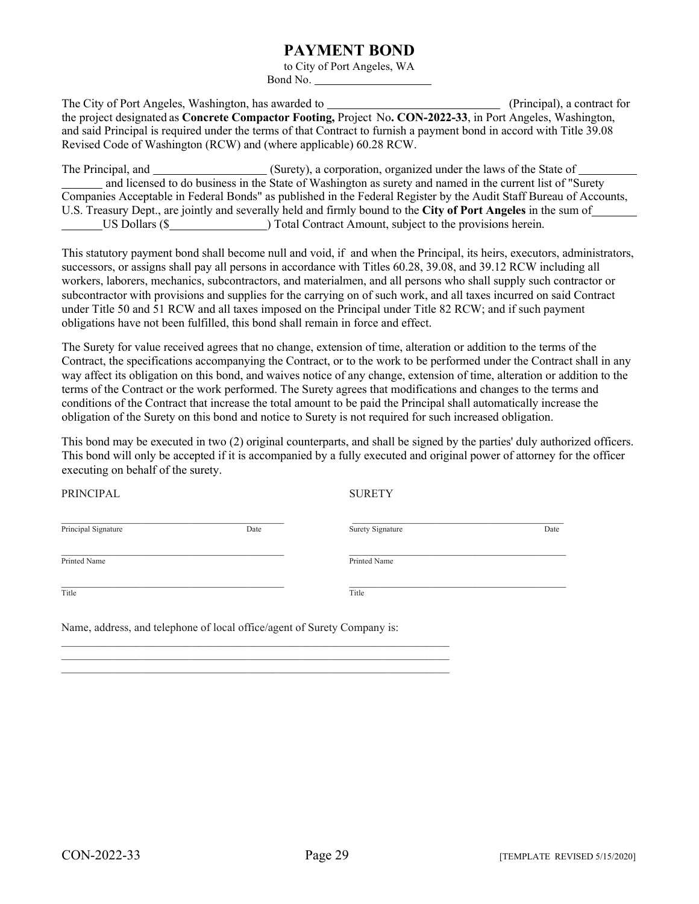## **PAYMENT BOND**

to City of Port Angeles, WA Bond No.

The City of Port Angeles, Washington, has awarded to (Principal), a contract for the project designated as **Concrete Compactor Footing,** Project No**. CON-2022-33**, in Port Angeles, Washington, and said Principal is required under the terms of that Contract to furnish a payment bond in accord with Title 39.08 Revised Code of Washington (RCW) and (where applicable) 60.28 RCW.

The Principal, and (Surety), a corporation, organized under the laws of the State of and licensed to do business in the State of Washington as surety and named in the current list of "Surety Companies Acceptable in Federal Bonds" as published in the Federal Register by the Audit Staff Bureau of Accounts, U.S. Treasury Dept., are jointly and severally held and firmly bound to the **City of Port Angeles** in the sum of US Dollars (\$ ) Total Contract Amount, subject to the provisions herein.

This statutory payment bond shall become null and void, if and when the Principal, its heirs, executors, administrators, successors, or assigns shall pay all persons in accordance with Titles 60.28, 39.08, and 39.12 RCW including all workers, laborers, mechanics, subcontractors, and materialmen, and all persons who shall supply such contractor or subcontractor with provisions and supplies for the carrying on of such work, and all taxes incurred on said Contract under Title 50 and 51 RCW and all taxes imposed on the Principal under Title 82 RCW; and if such payment obligations have not been fulfilled, this bond shall remain in force and effect.

The Surety for value received agrees that no change, extension of time, alteration or addition to the terms of the Contract, the specifications accompanying the Contract, or to the work to be performed under the Contract shall in any way affect its obligation on this bond, and waives notice of any change, extension of time, alteration or addition to the terms of the Contract or the work performed. The Surety agrees that modifications and changes to the terms and conditions of the Contract that increase the total amount to be paid the Principal shall automatically increase the obligation of the Surety on this bond and notice to Surety is not required for such increased obligation.

This bond may be executed in two (2) original counterparts, and shall be signed by the parties' duly authorized officers. This bond will only be accepted if it is accompanied by a fully executed and original power of attorney for the officer executing on behalf of the surety.

| PRINCIPAL           |                                                                          | <b>SURETY</b>    |      |
|---------------------|--------------------------------------------------------------------------|------------------|------|
| Principal Signature | Date                                                                     | Surety Signature | Date |
| Printed Name        |                                                                          | Printed Name     |      |
| Title               |                                                                          | Title            |      |
|                     | Name, address, and telephone of local office/agent of Surety Company is: |                  |      |

\_\_\_\_\_\_\_\_\_\_\_\_\_\_\_\_\_\_\_\_\_\_\_\_\_\_\_\_\_\_\_\_\_\_\_\_\_\_\_\_\_\_\_\_\_\_\_\_\_\_\_\_\_\_\_\_\_\_\_\_\_\_\_\_\_\_\_\_ \_\_\_\_\_\_\_\_\_\_\_\_\_\_\_\_\_\_\_\_\_\_\_\_\_\_\_\_\_\_\_\_\_\_\_\_\_\_\_\_\_\_\_\_\_\_\_\_\_\_\_\_\_\_\_\_\_\_\_\_\_\_\_\_\_\_\_\_  $\mathcal{L}_\mathcal{L} = \mathcal{L}_\mathcal{L} = \mathcal{L}_\mathcal{L} = \mathcal{L}_\mathcal{L} = \mathcal{L}_\mathcal{L} = \mathcal{L}_\mathcal{L} = \mathcal{L}_\mathcal{L} = \mathcal{L}_\mathcal{L} = \mathcal{L}_\mathcal{L} = \mathcal{L}_\mathcal{L} = \mathcal{L}_\mathcal{L} = \mathcal{L}_\mathcal{L} = \mathcal{L}_\mathcal{L} = \mathcal{L}_\mathcal{L} = \mathcal{L}_\mathcal{L} = \mathcal{L}_\mathcal{L} = \mathcal{L}_\mathcal{L}$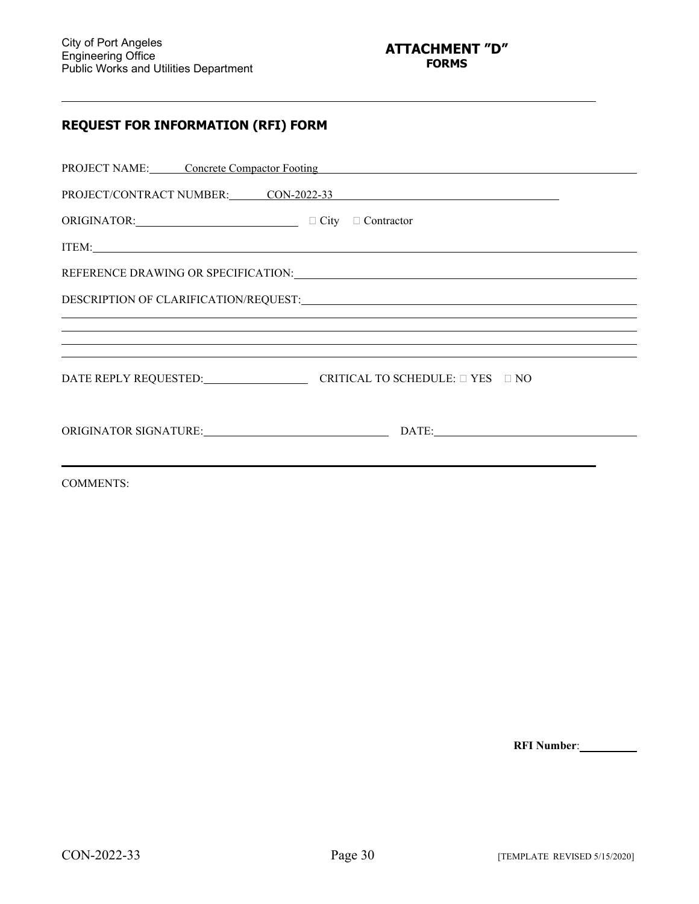l

## **REQUEST FOR INFORMATION (RFI) FORM**

|                                                        | PROJECT NAME: Concrete Compactor Footing COMERCIAL CONSERVATION CONTROL CONTROL CONTROL CONTROL CONTROL CONTROL CONTROL CONTROL CONTROL CONTROL CONTROL CONTROL CONTROL CONTROL CONTROL CONTROL CONTROL CONTROL CONTROL CONTRO |
|--------------------------------------------------------|--------------------------------------------------------------------------------------------------------------------------------------------------------------------------------------------------------------------------------|
|                                                        | PROJECT/CONTRACT NUMBER: CON-2022-33                                                                                                                                                                                           |
| ORIGINATOR: □ □ City □ Contractor                      |                                                                                                                                                                                                                                |
|                                                        | ITEM: TEME                                                                                                                                                                                                                     |
|                                                        | REFERENCE DRAWING OR SPECIFICATION: University of the state of the state of the state of the state of the state of the state of the state of the state of the state of the state of the state of the state of the state of the |
|                                                        |                                                                                                                                                                                                                                |
|                                                        | ,我们也不会有什么?""我们的人,我们也不会有什么?""我们的人,我们也不会有什么?""我们的人,我们也不会有什么?""我们的人,我们也不会有什么?""我们的人                                                                                                                                               |
|                                                        | <u> 1989 - Andrea Santana, amerikana amerikana amerikana amerikana amerikana amerikana amerikana amerikana amerika</u>                                                                                                         |
| DATE REPLY REQUESTED: CRITICAL TO SCHEDULE: □ YES □ NO |                                                                                                                                                                                                                                |
|                                                        |                                                                                                                                                                                                                                |
| <b>COMMENTS:</b>                                       |                                                                                                                                                                                                                                |

**RFI Number**: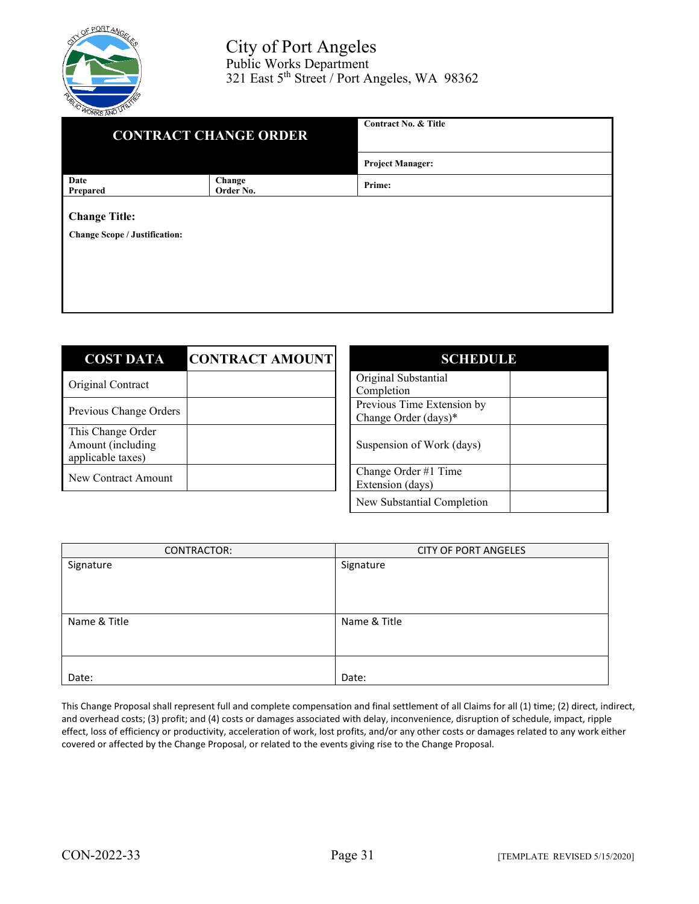

| .<br><b>CONTRACT CHANGE ORDER</b>                            |                     | <b>Contract No. &amp; Title</b> |
|--------------------------------------------------------------|---------------------|---------------------------------|
|                                                              |                     | <b>Project Manager:</b>         |
| Date<br>Prepared                                             | Change<br>Order No. | Prime:                          |
| <b>Change Title:</b><br><b>Change Scope / Justification:</b> |                     |                                 |

| <b>COST DATA</b>                                            | <b>CONTRACT AMOUNT</b> | <b>SCHEDULE</b>                                    |  |
|-------------------------------------------------------------|------------------------|----------------------------------------------------|--|
| Original Contract                                           |                        | Original Substantial<br>Completion                 |  |
| Previous Change Orders                                      |                        | Previous Time Extension by<br>Change Order (days)* |  |
| This Change Order<br>Amount (including<br>applicable taxes) |                        | Suspension of Work (days)                          |  |
| New Contract Amount                                         |                        | Change Order #1 Time<br>Extension (days)           |  |
|                                                             |                        | New Substantial Completion                         |  |

| CONTRACTOR:  | <b>CITY OF PORT ANGELES</b> |
|--------------|-----------------------------|
| Signature    | Signature                   |
| Name & Title | Name & Title                |
| Date:        | Date:                       |

This Change Proposal shall represent full and complete compensation and final settlement of all Claims for all (1) time; (2) direct, indirect, and overhead costs; (3) profit; and (4) costs or damages associated with delay, inconvenience, disruption of schedule, impact, ripple effect, loss of efficiency or productivity, acceleration of work, lost profits, and/or any other costs or damages related to any work either covered or affected by the Change Proposal, or related to the events giving rise to the Change Proposal.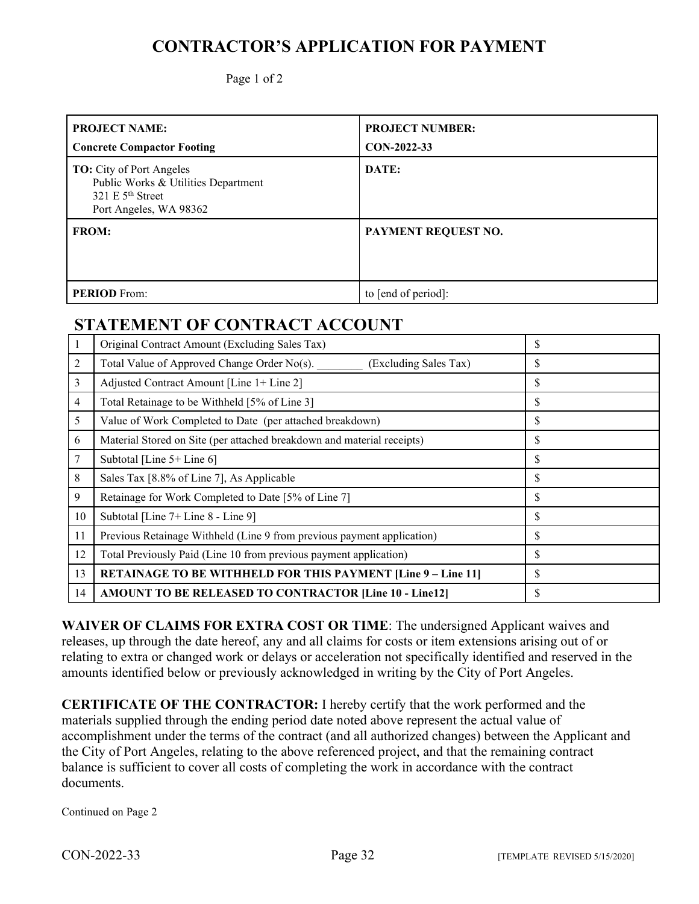# **CONTRACTOR'S APPLICATION FOR PAYMENT**

Page 1 of 2

| <b>PROJECT NAME:</b><br><b>Concrete Compactor Footing</b>                                                              | <b>PROJECT NUMBER:</b><br>CON-2022-33 |
|------------------------------------------------------------------------------------------------------------------------|---------------------------------------|
| <b>TO:</b> City of Port Angeles<br>Public Works & Utilities Department<br>321 E $5th$ Street<br>Port Angeles, WA 98362 | DATE:                                 |
| <b>FROM:</b>                                                                                                           | PAYMENT REQUEST NO.                   |
| <b>PERIOD</b> From:                                                                                                    | to [end of period]:                   |

# **STATEMENT OF CONTRACT ACCOUNT**

|                | Original Contract Amount (Excluding Sales Tax)                         | \$ |
|----------------|------------------------------------------------------------------------|----|
| 2              | Total Value of Approved Change Order No(s).<br>(Excluding Sales Tax)   | \$ |
| 3              | Adjusted Contract Amount [Line 1+ Line 2]                              | \$ |
| $\overline{4}$ | Total Retainage to be Withheld [5% of Line 3]                          | \$ |
| 5              | Value of Work Completed to Date (per attached breakdown)               | \$ |
| 6              | Material Stored on Site (per attached breakdown and material receipts) | \$ |
| 7              | Subtotal [Line 5+ Line 6]                                              | \$ |
| 8              | Sales Tax [8.8% of Line 7], As Applicable                              | \$ |
| 9              | Retainage for Work Completed to Date [5% of Line 7]                    | \$ |
| 10             | Subtotal [Line 7+ Line 8 - Line 9]                                     | \$ |
| 11             | Previous Retainage Withheld (Line 9 from previous payment application) | \$ |
| 12             | Total Previously Paid (Line 10 from previous payment application)      | \$ |
| 13             | RETAINAGE TO BE WITHHELD FOR THIS PAYMENT [Line 9 - Line 11]           | \$ |
| 14             | <b>AMOUNT TO BE RELEASED TO CONTRACTOR [Line 10 - Line12]</b>          | \$ |

**WAIVER OF CLAIMS FOR EXTRA COST OR TIME**: The undersigned Applicant waives and releases, up through the date hereof, any and all claims for costs or item extensions arising out of or relating to extra or changed work or delays or acceleration not specifically identified and reserved in the amounts identified below or previously acknowledged in writing by the City of Port Angeles.

**CERTIFICATE OF THE CONTRACTOR:** I hereby certify that the work performed and the materials supplied through the ending period date noted above represent the actual value of accomplishment under the terms of the contract (and all authorized changes) between the Applicant and the City of Port Angeles, relating to the above referenced project, and that the remaining contract balance is sufficient to cover all costs of completing the work in accordance with the contract documents.

Continued on Page 2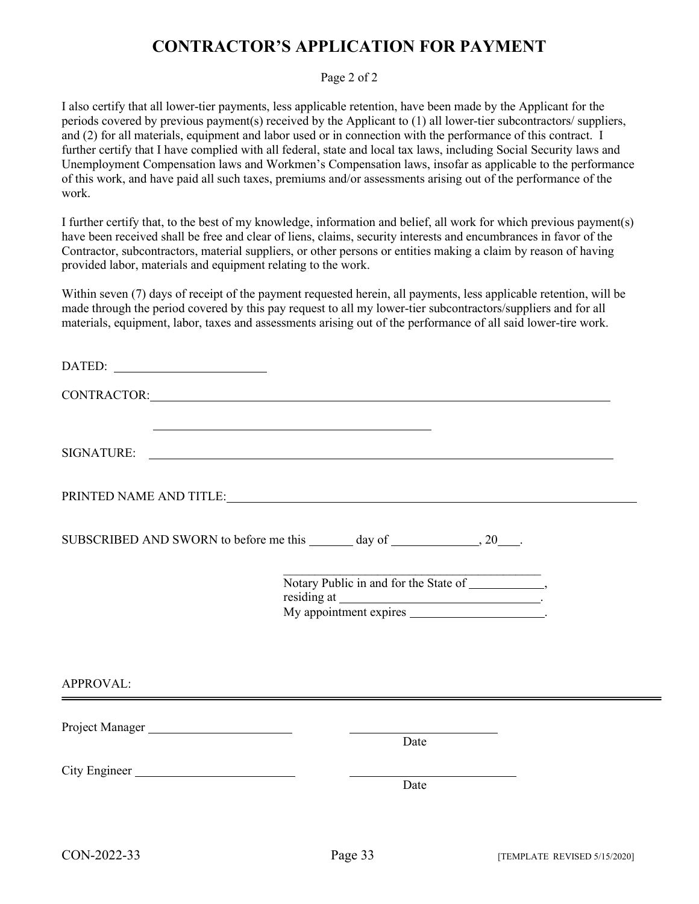# **CONTRACTOR'S APPLICATION FOR PAYMENT**

## Page 2 of 2

I also certify that all lower-tier payments, less applicable retention, have been made by the Applicant for the periods covered by previous payment(s) received by the Applicant to (1) all lower-tier subcontractors/ suppliers, and (2) for all materials, equipment and labor used or in connection with the performance of this contract. I further certify that I have complied with all federal, state and local tax laws, including Social Security laws and Unemployment Compensation laws and Workmen's Compensation laws, insofar as applicable to the performance of this work, and have paid all such taxes, premiums and/or assessments arising out of the performance of the work.

I further certify that, to the best of my knowledge, information and belief, all work for which previous payment(s) have been received shall be free and clear of liens, claims, security interests and encumbrances in favor of the Contractor, subcontractors, material suppliers, or other persons or entities making a claim by reason of having provided labor, materials and equipment relating to the work.

Within seven (7) days of receipt of the payment requested herein, all payments, less applicable retention, will be made through the period covered by this pay request to all my lower-tier subcontractors/suppliers and for all materials, equipment, labor, taxes and assessments arising out of the performance of all said lower-tire work.

|               | CONTRACTOR: CONTRACTOR |  |
|---------------|------------------------|--|
|               |                        |  |
|               |                        |  |
|               |                        |  |
|               |                        |  |
| APPROVAL:     |                        |  |
|               | Date                   |  |
| City Engineer | Date                   |  |
|               |                        |  |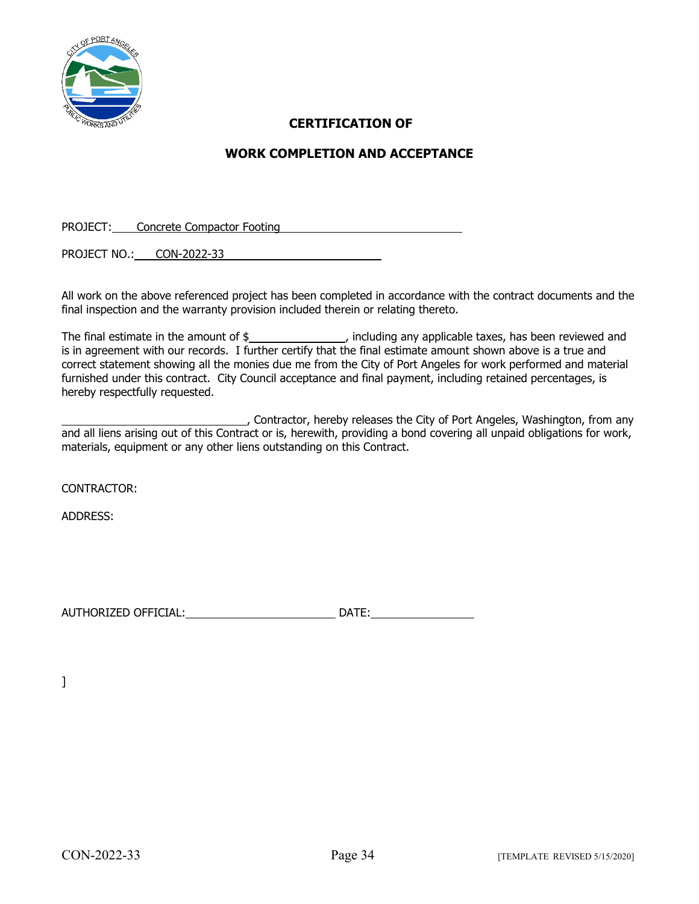

## **CERTIFICATION OF**

## **WORK COMPLETION AND ACCEPTANCE**

PROJECT: Concrete Compactor Footing

PROJECT NO.: CON-2022-33

All work on the above referenced project has been completed in accordance with the contract documents and the final inspection and the warranty provision included therein or relating thereto.

The final estimate in the amount of  $\frac{1}{2}$  , including any applicable taxes, has been reviewed and is in agreement with our records. I further certify that the final estimate amount shown above is a true and correct statement showing all the monies due me from the City of Port Angeles for work performed and material furnished under this contract. City Council acceptance and final payment, including retained percentages, is hereby respectfully requested.

Contractor, hereby releases the City of Port Angeles, Washington, from any and all liens arising out of this Contract or is, herewith, providing a bond covering all unpaid obligations for work, materials, equipment or any other liens outstanding on this Contract.

CONTRACTOR:

ADDRESS:

AUTHORIZED OFFICIAL: DATE:

]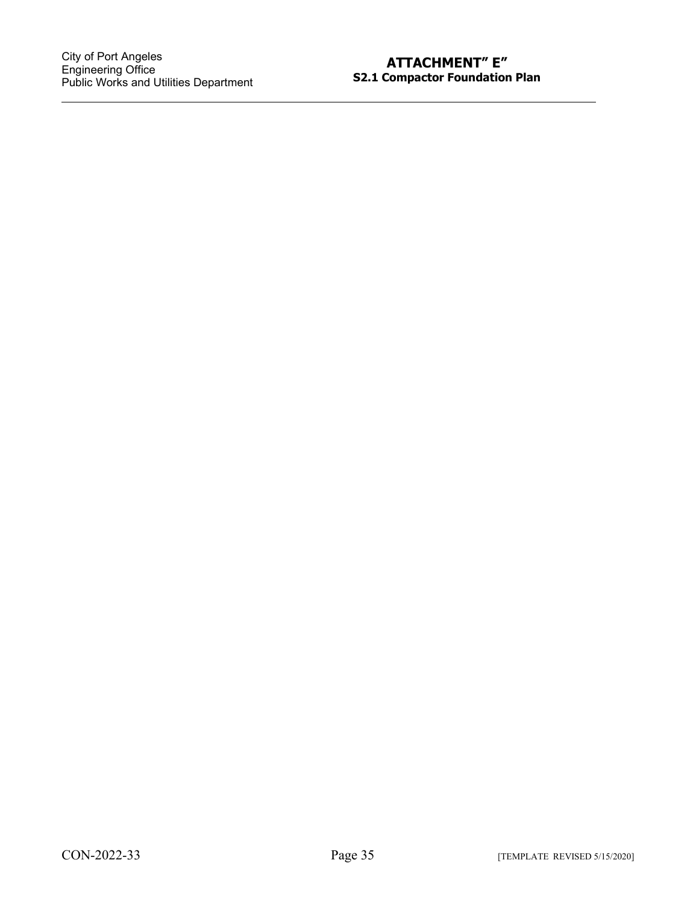$\ddot{\phantom{a}}$ 

## **ATTACHMENT" E" S2.1 Compactor Foundation Plan**